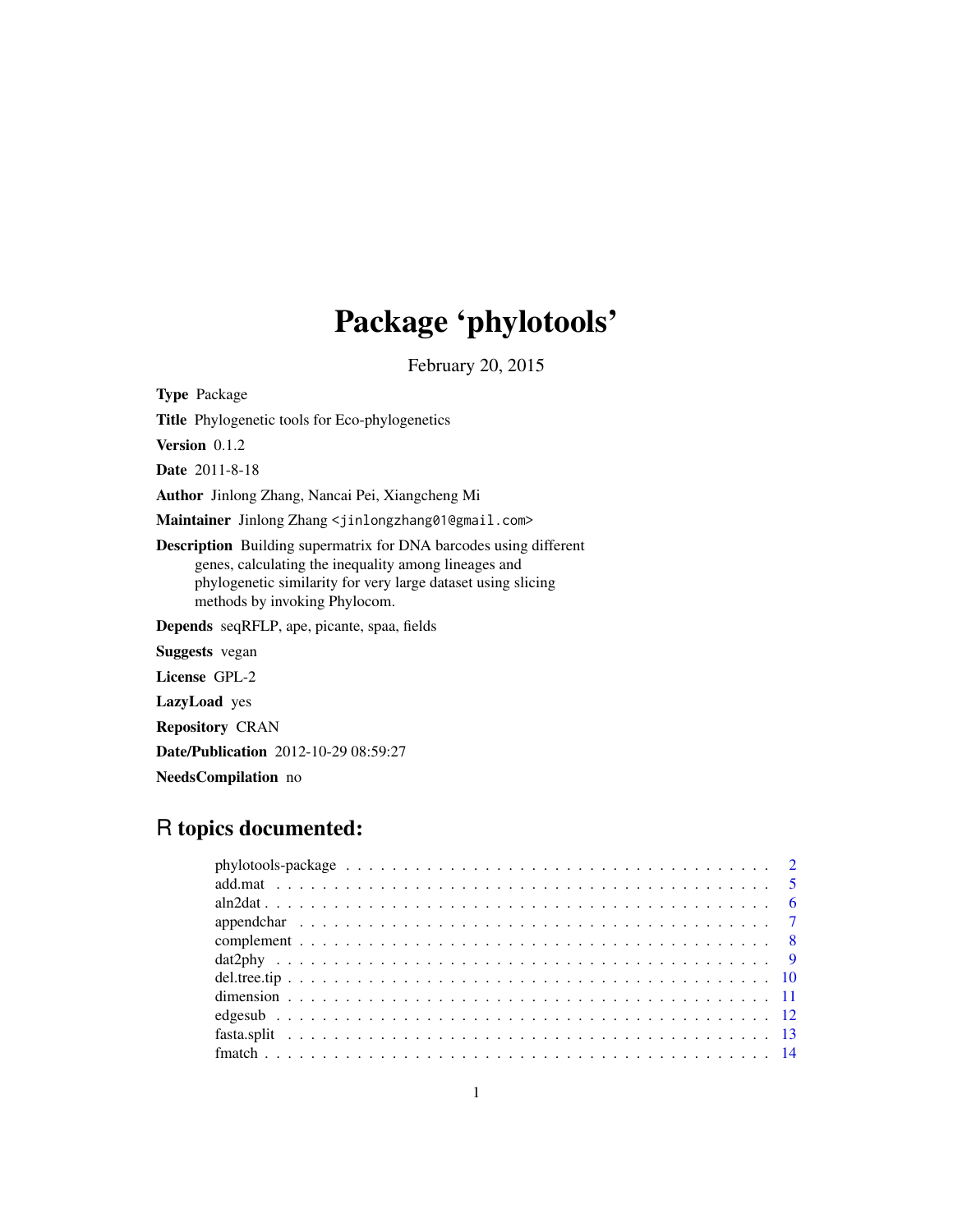# Package 'phylotools'

February 20, 2015

<span id="page-0-0"></span>Type Package Title Phylogenetic tools for Eco-phylogenetics Version 0.1.2 Date 2011-8-18 Author Jinlong Zhang, Nancai Pei, Xiangcheng Mi Maintainer Jinlong Zhang <jinlongzhang01@gmail.com> Description Building supermatrix for DNA barcodes using different genes, calculating the inequality among lineages and phylogenetic similarity for very large dataset using slicing methods by invoking Phylocom. Depends seqRFLP, ape, picante, spaa, fields Suggests vegan License GPL-2 LazyLoad yes Repository CRAN Date/Publication 2012-10-29 08:59:27 NeedsCompilation no

# R topics documented: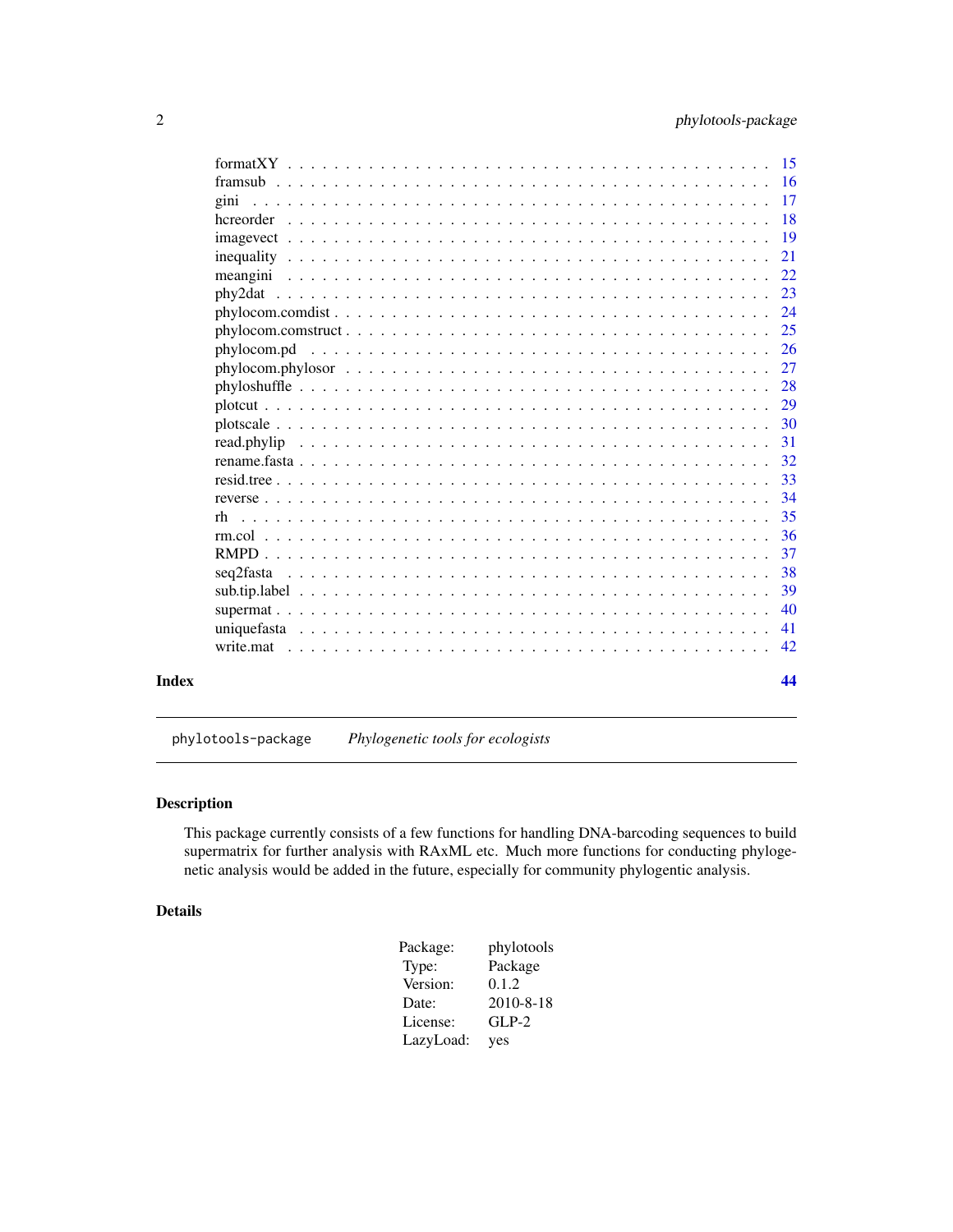<span id="page-1-0"></span>

|       |                                                                                                                    | <b>16</b>     |
|-------|--------------------------------------------------------------------------------------------------------------------|---------------|
|       |                                                                                                                    | <b>17</b>     |
|       |                                                                                                                    | <b>18</b>     |
|       | $imagevec t \dots \dots \dots \dots \dots \dots \dots \dots \dots \dots \dots \dots \dots \dots \dots \dots \dots$ | 19            |
|       |                                                                                                                    | 21            |
|       |                                                                                                                    | 22            |
|       |                                                                                                                    | 23            |
|       |                                                                                                                    | 24            |
|       |                                                                                                                    | 25            |
|       |                                                                                                                    | <sup>26</sup> |
|       |                                                                                                                    | 27            |
|       |                                                                                                                    | 28            |
|       |                                                                                                                    | 29            |
|       |                                                                                                                    | 30            |
|       |                                                                                                                    | 31            |
|       |                                                                                                                    | 32            |
|       |                                                                                                                    | 33            |
|       |                                                                                                                    | 34            |
|       | rh                                                                                                                 | 35            |
|       |                                                                                                                    | 36            |
|       |                                                                                                                    | 37            |
|       | seq2fasta                                                                                                          | 38            |
|       |                                                                                                                    | 39            |
|       |                                                                                                                    | 40            |
|       |                                                                                                                    | 41            |
|       |                                                                                                                    | 42            |
| Index |                                                                                                                    | 44            |

phylotools-package *Phylogenetic tools for ecologists*

# Description

This package currently consists of a few functions for handling DNA-barcoding sequences to build supermatrix for further analysis with RAxML etc. Much more functions for conducting phylogenetic analysis would be added in the future, especially for community phylogentic analysis.

# Details

| Package:  | phylotools      |
|-----------|-----------------|
| Type:     | Package         |
| Version:  | 0.1.2           |
| Date:     | $2010 - 8 - 18$ |
| License:  | $GLP-2$         |
| LazyLoad: | yes             |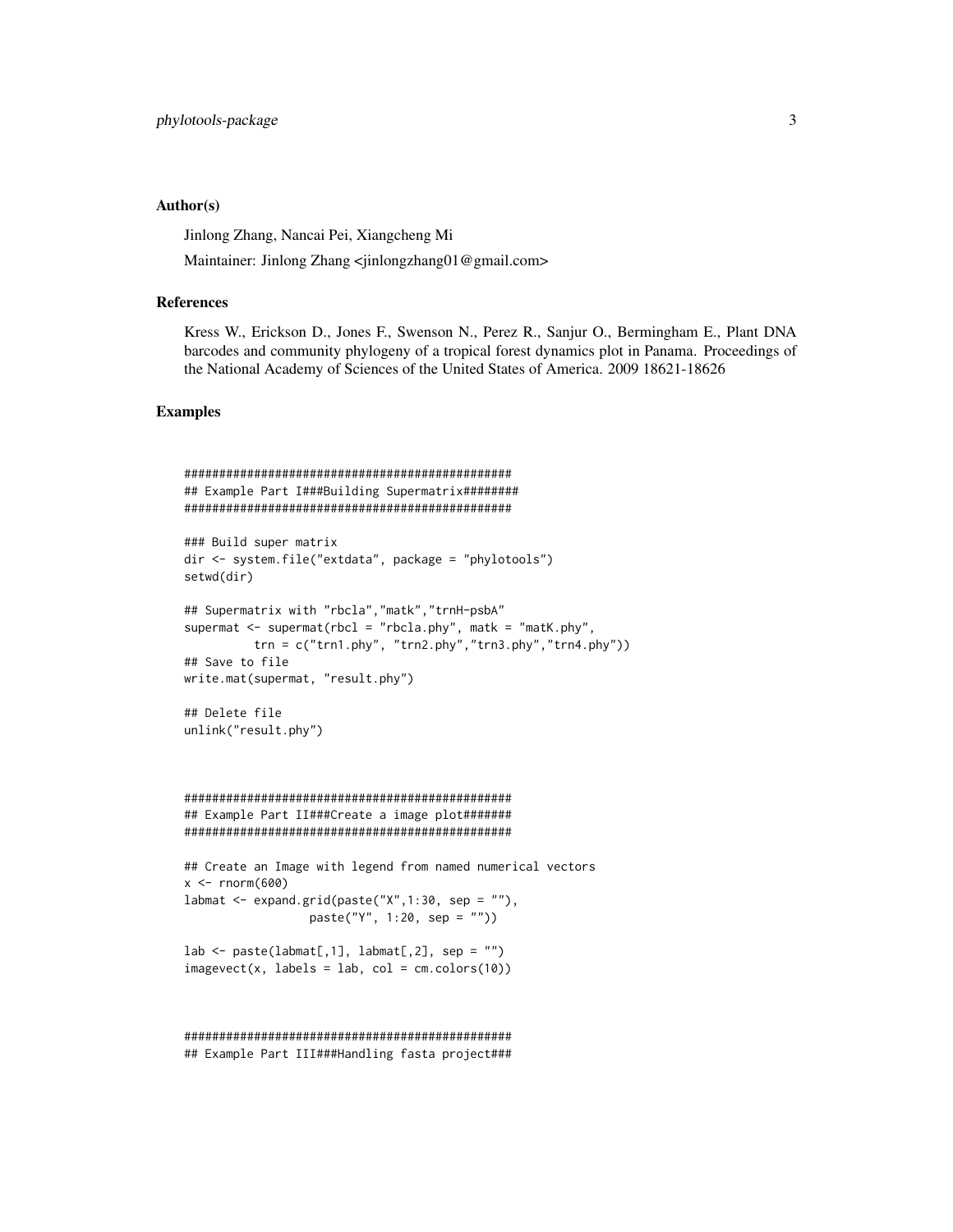# Author(s)

Jinlong Zhang, Nancai Pei, Xiangcheng Mi

Maintainer: Jinlong Zhang <jinlongzhang01@gmail.com>

#### References

Kress W., Erickson D., Jones F., Swenson N., Perez R., Sanjur O., Bermingham E., Plant DNA barcodes and community phylogeny of a tropical forest dynamics plot in Panama. Proceedings of the National Academy of Sciences of the United States of America. 2009 18621-18626

# Examples

```
###############################################
## Example Part I###Building Supermatrix########
###############################################
### Build super matrix
dir <- system.file("extdata", package = "phylotools")
setwd(dir)
## Supermatrix with "rbcla","matk","trnH-psbA"
supermat \leq supermat(rbcl = "rbcla.phy", matk = "matK.phy",
         trn = c("trn1.php", "trn2.php", "trn3.php", "trn4.php"))## Save to file
write.mat(supermat, "result.phy")
## Delete file
unlink("result.phy")
###############################################
## Example Part II###Create a image plot#######
###############################################
## Create an Image with legend from named numerical vectors
x < - rnorm(600)
labmat <- expand.grid(paste("X",1:30, sep = ""),
                  paste("Y", 1:20, sep = ""))
lab \leftarrow paste(labmat[,1], labmat[,2], sep = "")imagevect(x, labels = lab, col = cm.colors(10))###############################################
```
## Example Part III###Handling fasta project###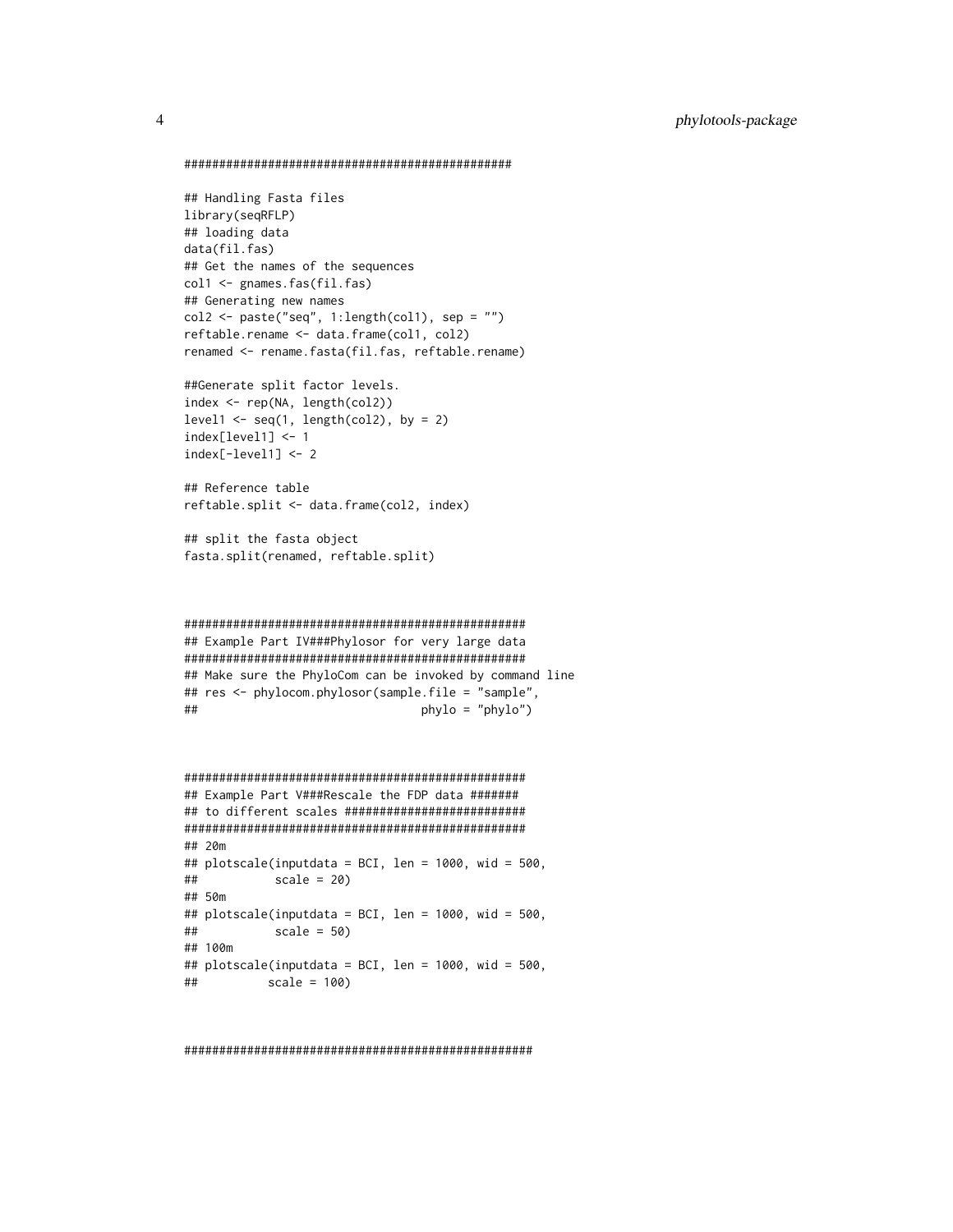```
###############################################
```

```
## Handling Fasta files
library(seqRFLP)
## loading data
data(fil.fas)
## Get the names of the sequences
col1 <- gnames.fas(fil.fas)
## Generating new names
col2 \leq - paste("seq", 1:length(col1), sep = "")
reftable.rename <- data.frame(col1, col2)
renamed <- rename.fasta(fil.fas, reftable.rename)
```

```
##Generate split factor levels.
index <- rep(NA, length(col2))
level1 \leftarrow seq(1, length(col2), by = 2)
index[level1] <- 1
index[-level1] <- 2
```
## Reference table reftable.split <- data.frame(col2, index)

```
## split the fasta object
fasta.split(renamed, reftable.split)
```

```
#################################################
## Example Part IV###Phylosor for very large data
#################################################
## Make sure the PhyloCom can be invoked by command line
## res <- phylocom.phylosor(sample.file = "sample",
## phylo = "phylo")
```

```
#################################################
## Example Part V###Rescale the FDP data #######
## to different scales ##########################
#################################################
## 20m
## plotscale(inputdata = BCI, len = 1000, wid = 500,
## scale = 20)
## 50m
## plotscale(inputdata = BCI, len = 1000, wid = 500,
## scale = 50)
## 100m
## plotscale(inputdata = BCI, len = 1000, wid = 500,
## scale = 100)
```
##################################################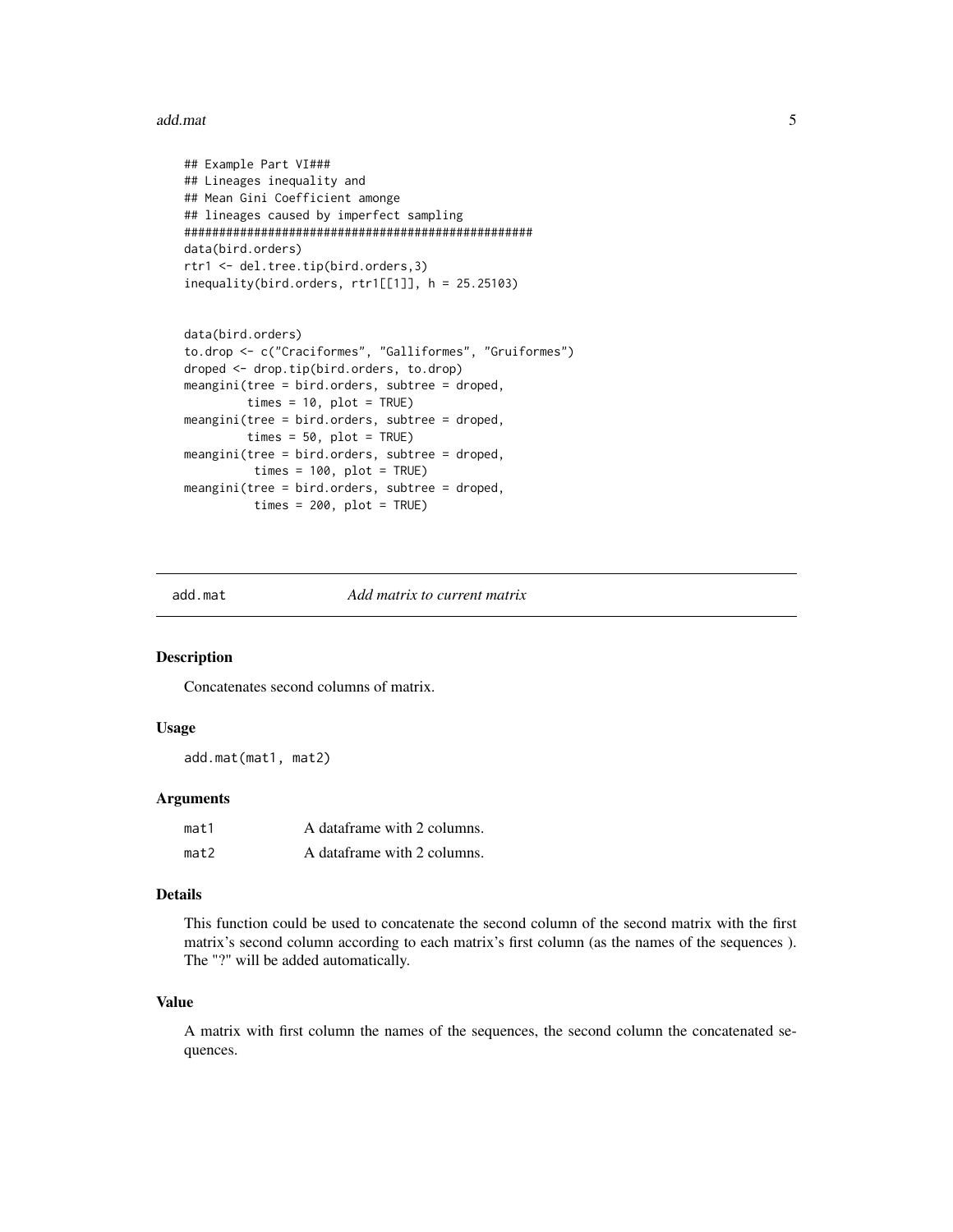#### <span id="page-4-0"></span>add.mat 5

```
## Example Part VI###
## Lineages inequality and
## Mean Gini Coefficient amonge
## lineages caused by imperfect sampling
##################################################
data(bird.orders)
rtr1 <- del.tree.tip(bird.orders,3)
inequality(bird.orders, rtr1[[1]], h = 25.25103)
```

```
data(bird.orders)
to.drop <- c("Craciformes", "Galliformes", "Gruiformes")
droped <- drop.tip(bird.orders, to.drop)
meangini(tree = bird.orders, subtree = droped,
         times = 10, plot = TRUE)
meangini(tree = bird.orders, subtree = droped,
         times = 50, plot = TRUE)
meangini(tree = bird.orders, subtree = droped,
          times = 100, plot = TRUE)
meangini(tree = bird.orders, subtree = droped,
          times = 200, plot = TRUE)
```
add.mat *Add matrix to current matrix*

#### Description

Concatenates second columns of matrix.

#### Usage

add.mat(mat1, mat2)

#### Arguments

| mat1 | A dataframe with 2 columns. |
|------|-----------------------------|
| mat2 | A dataframe with 2 columns. |

#### Details

This function could be used to concatenate the second column of the second matrix with the first matrix's second column according to each matrix's first column (as the names of the sequences ). The "?" will be added automatically.

#### Value

A matrix with first column the names of the sequences, the second column the concatenated sequences.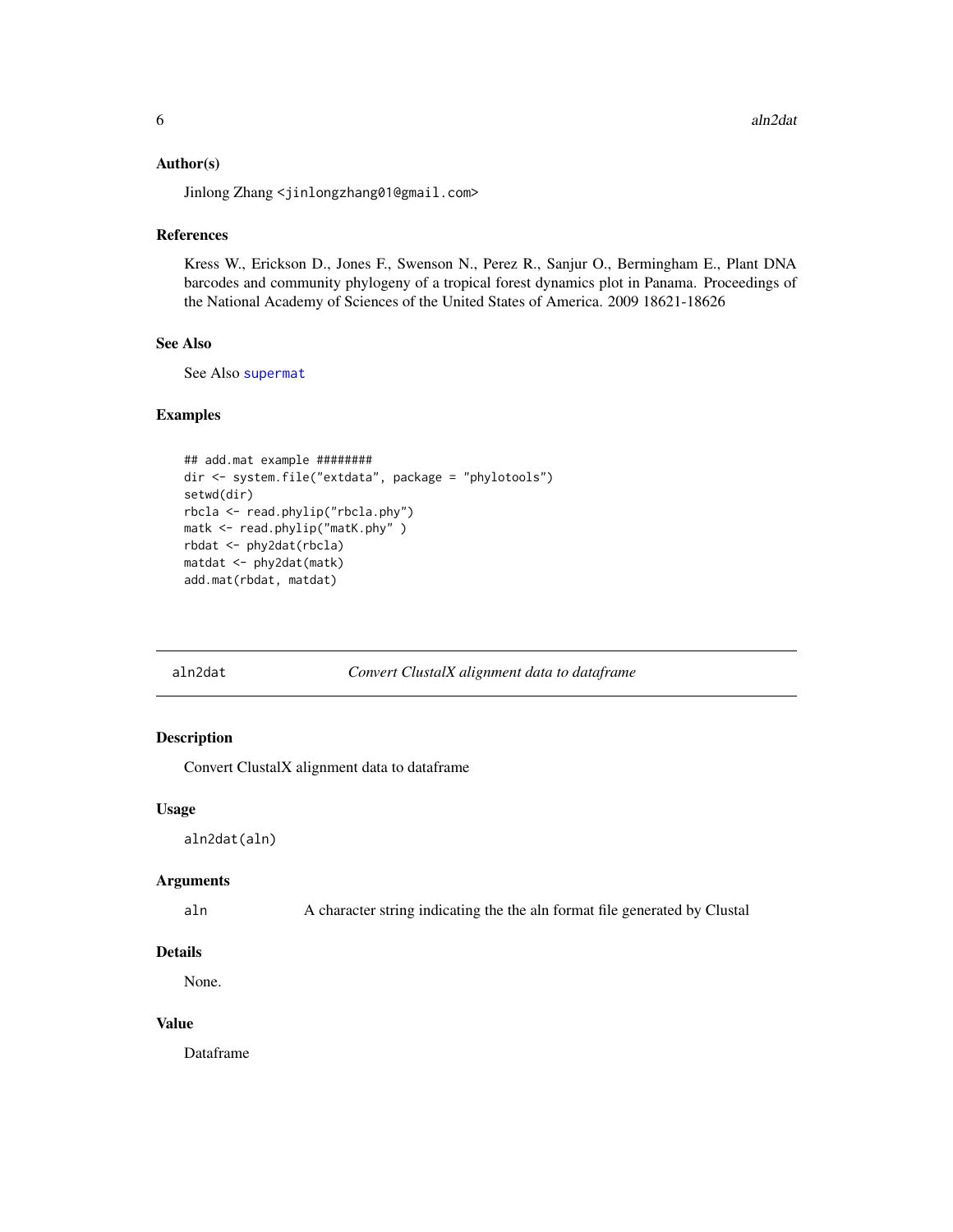#### <span id="page-5-0"></span>Author(s)

Jinlong Zhang <jinlongzhang01@gmail.com>

# References

Kress W., Erickson D., Jones F., Swenson N., Perez R., Sanjur O., Bermingham E., Plant DNA barcodes and community phylogeny of a tropical forest dynamics plot in Panama. Proceedings of the National Academy of Sciences of the United States of America. 2009 18621-18626

# See Also

See Also [supermat](#page-39-1)

#### Examples

```
## add.mat example ########
dir <- system.file("extdata", package = "phylotools")
setwd(dir)
rbcla <- read.phylip("rbcla.phy")
matk <- read.phylip("matK.phy" )
rbdat <- phy2dat(rbcla)
matdat <- phy2dat(matk)
add.mat(rbdat, matdat)
```
#### aln2dat *Convert ClustalX alignment data to dataframe*

#### Description

Convert ClustalX alignment data to dataframe

#### Usage

aln2dat(aln)

#### Arguments

aln A character string indicating the the aln format file generated by Clustal

#### Details

None.

# Value

Dataframe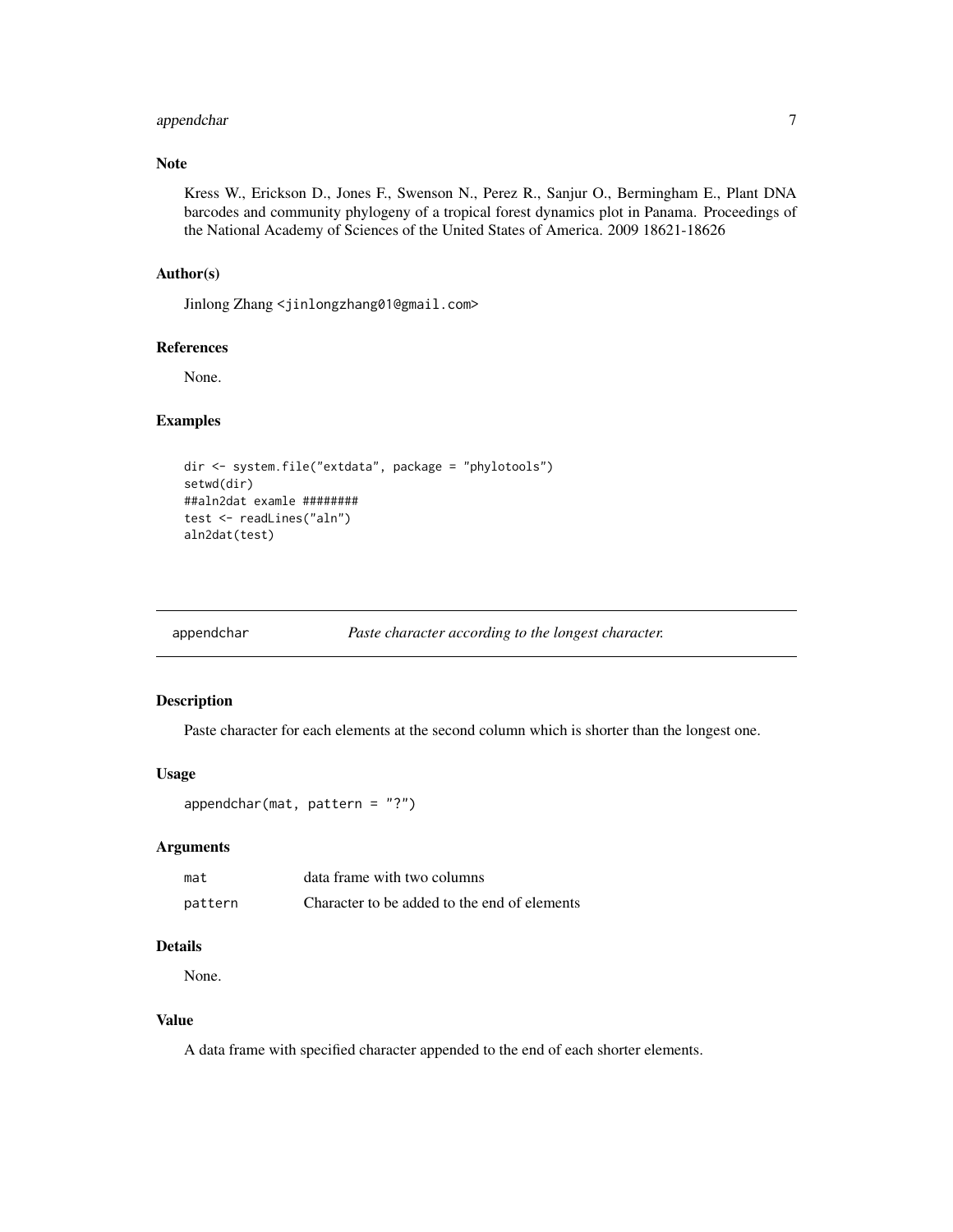# <span id="page-6-0"></span>appendchar 7

# Note

Kress W., Erickson D., Jones F., Swenson N., Perez R., Sanjur O., Bermingham E., Plant DNA barcodes and community phylogeny of a tropical forest dynamics plot in Panama. Proceedings of the National Academy of Sciences of the United States of America. 2009 18621-18626

# Author(s)

Jinlong Zhang <jinlongzhang01@gmail.com>

# References

None.

# Examples

```
dir <- system.file("extdata", package = "phylotools")
setwd(dir)
##aln2dat examle ########
test <- readLines("aln")
aln2dat(test)
```

```
appendchar Paste character according to the longest character.
```
#### Description

Paste character for each elements at the second column which is shorter than the longest one.

#### Usage

```
appendchar(mat, pattern = "?")
```
#### Arguments

| mat     | data frame with two columns                  |
|---------|----------------------------------------------|
| pattern | Character to be added to the end of elements |

#### Details

None.

#### Value

A data frame with specified character appended to the end of each shorter elements.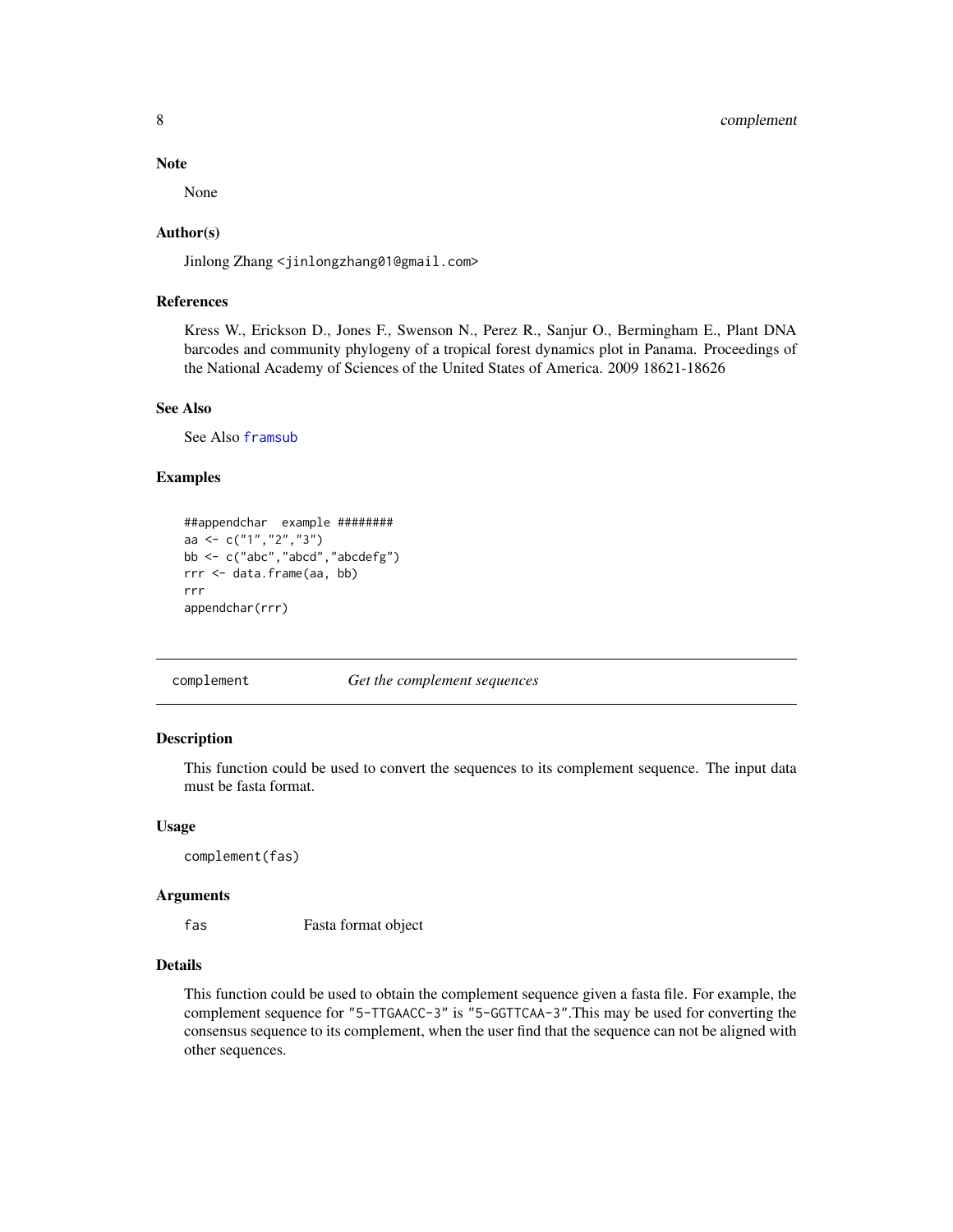#### Note

None

#### Author(s)

Jinlong Zhang <jinlongzhang01@gmail.com>

# References

Kress W., Erickson D., Jones F., Swenson N., Perez R., Sanjur O., Bermingham E., Plant DNA barcodes and community phylogeny of a tropical forest dynamics plot in Panama. Proceedings of the National Academy of Sciences of the United States of America. 2009 18621-18626

# See Also

See Also [framsub](#page-15-1)

# Examples

```
##appendchar example ########
aa <- c("1","2","3")
bb <- c("abc","abcd","abcdefg")
rrr <- data.frame(aa, bb)
rrr
appendchar(rrr)
```
complement *Get the complement sequences*

#### Description

This function could be used to convert the sequences to its complement sequence. The input data must be fasta format.

#### Usage

complement(fas)

#### Arguments

fas Fasta format object

#### Details

This function could be used to obtain the complement sequence given a fasta file. For example, the complement sequence for "5-TTGAACC-3" is "5-GGTTCAA-3".This may be used for converting the consensus sequence to its complement, when the user find that the sequence can not be aligned with other sequences.

<span id="page-7-0"></span>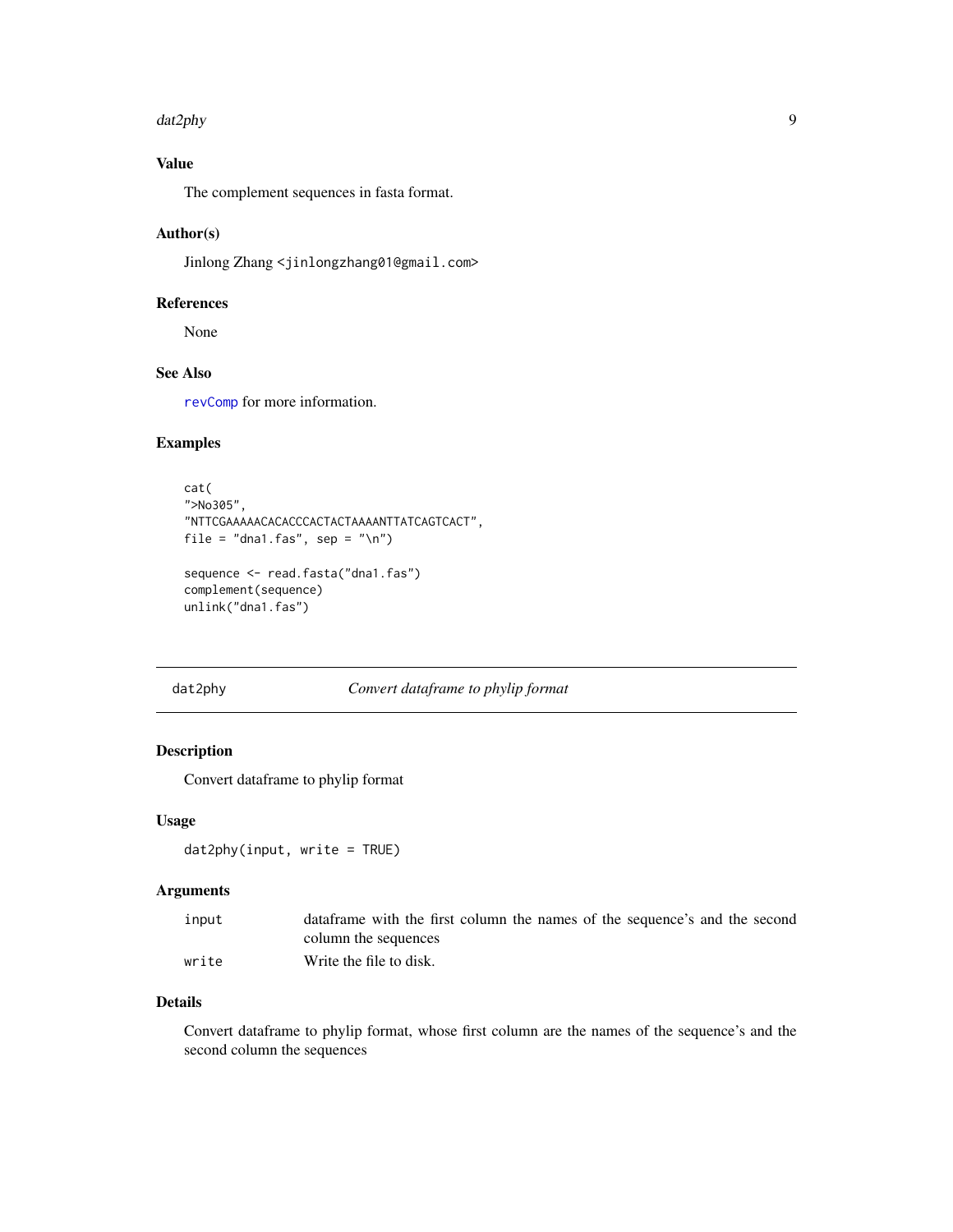#### <span id="page-8-0"></span>dat2phy 90 and 200 and 200 and 200 and 200 and 200 and 200 and 200 and 200 and 200 and 200 and 200 and 200 and 200 and 200 and 200 and 200 and 200 and 200 and 200 and 200 and 200 and 200 and 200 and 200 and 200 and 200 and

# Value

The complement sequences in fasta format.

#### Author(s)

Jinlong Zhang <jinlongzhang01@gmail.com>

#### References

None

# See Also

[revComp](#page-0-0) for more information.

#### Examples

```
cat(
">No305",
"NTTCGAAAAACACACCCACTACTAAAANTTATCAGTCACT",
file = "dna1.fas", sep = "\n")
sequence <- read.fasta("dna1.fas")
```

```
complement(sequence)
unlink("dna1.fas")
```
<span id="page-8-1"></span>dat2phy *Convert dataframe to phylip format*

#### Description

Convert dataframe to phylip format

# Usage

```
dat2phy(input, write = TRUE)
```
# Arguments

| input | data frame with the first column the names of the sequence's and the second |
|-------|-----------------------------------------------------------------------------|
|       | column the sequences                                                        |
| write | Write the file to disk.                                                     |

# Details

Convert dataframe to phylip format, whose first column are the names of the sequence's and the second column the sequences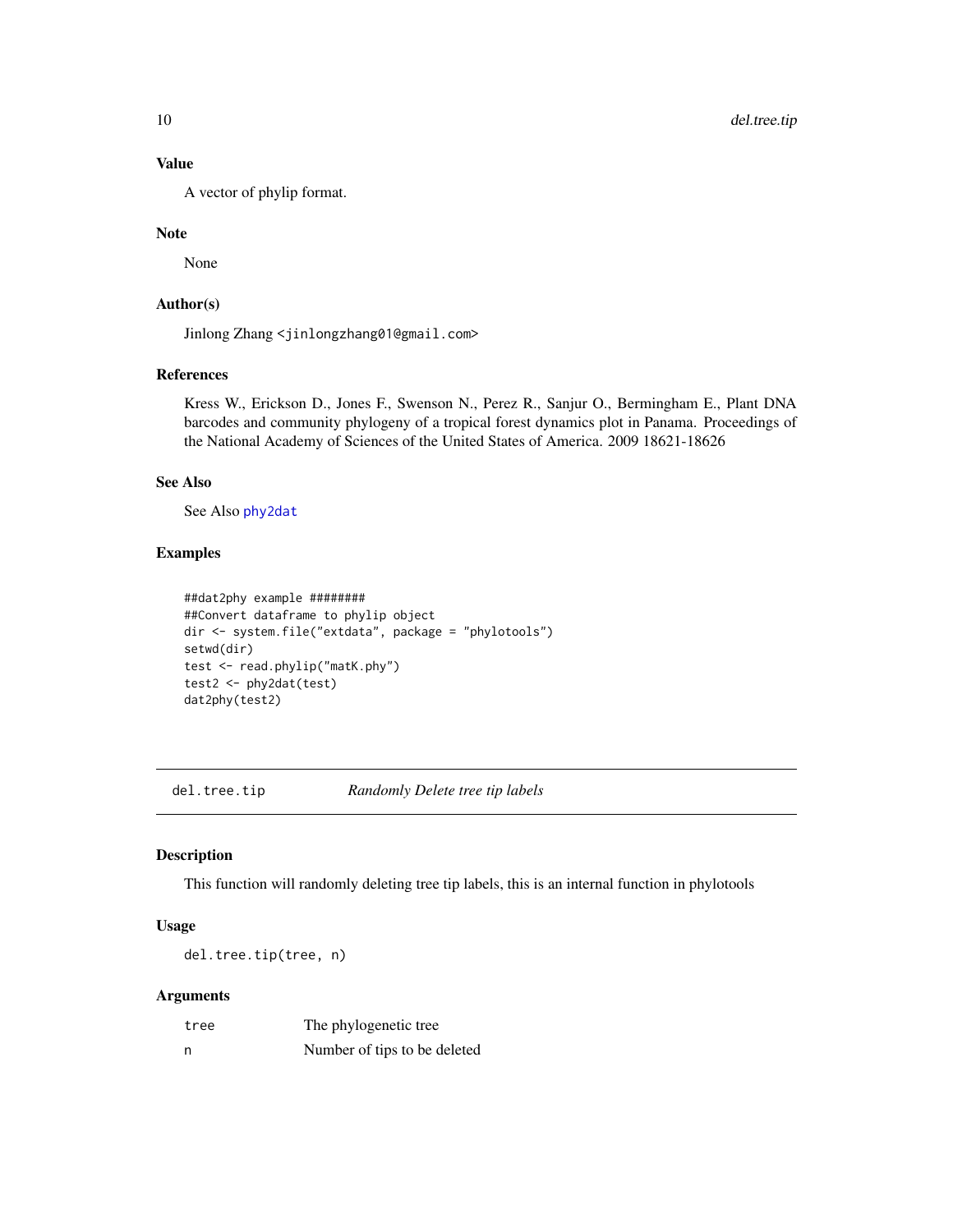# Value

A vector of phylip format.

#### Note

None

# Author(s)

Jinlong Zhang <jinlongzhang01@gmail.com>

# References

Kress W., Erickson D., Jones F., Swenson N., Perez R., Sanjur O., Bermingham E., Plant DNA barcodes and community phylogeny of a tropical forest dynamics plot in Panama. Proceedings of the National Academy of Sciences of the United States of America. 2009 18621-18626

# See Also

See Also [phy2dat](#page-22-1)

#### Examples

```
##dat2phy example ########
##Convert dataframe to phylip object
dir <- system.file("extdata", package = "phylotools")
setwd(dir)
test <- read.phylip("matK.phy")
test2 <- phy2dat(test)
dat2phy(test2)
```
<span id="page-9-1"></span>del.tree.tip *Randomly Delete tree tip labels*

# Description

This function will randomly deleting tree tip labels, this is an internal function in phylotools

# Usage

del.tree.tip(tree, n)

#### Arguments

| tree | The phylogenetic tree        |
|------|------------------------------|
| n    | Number of tips to be deleted |

<span id="page-9-0"></span>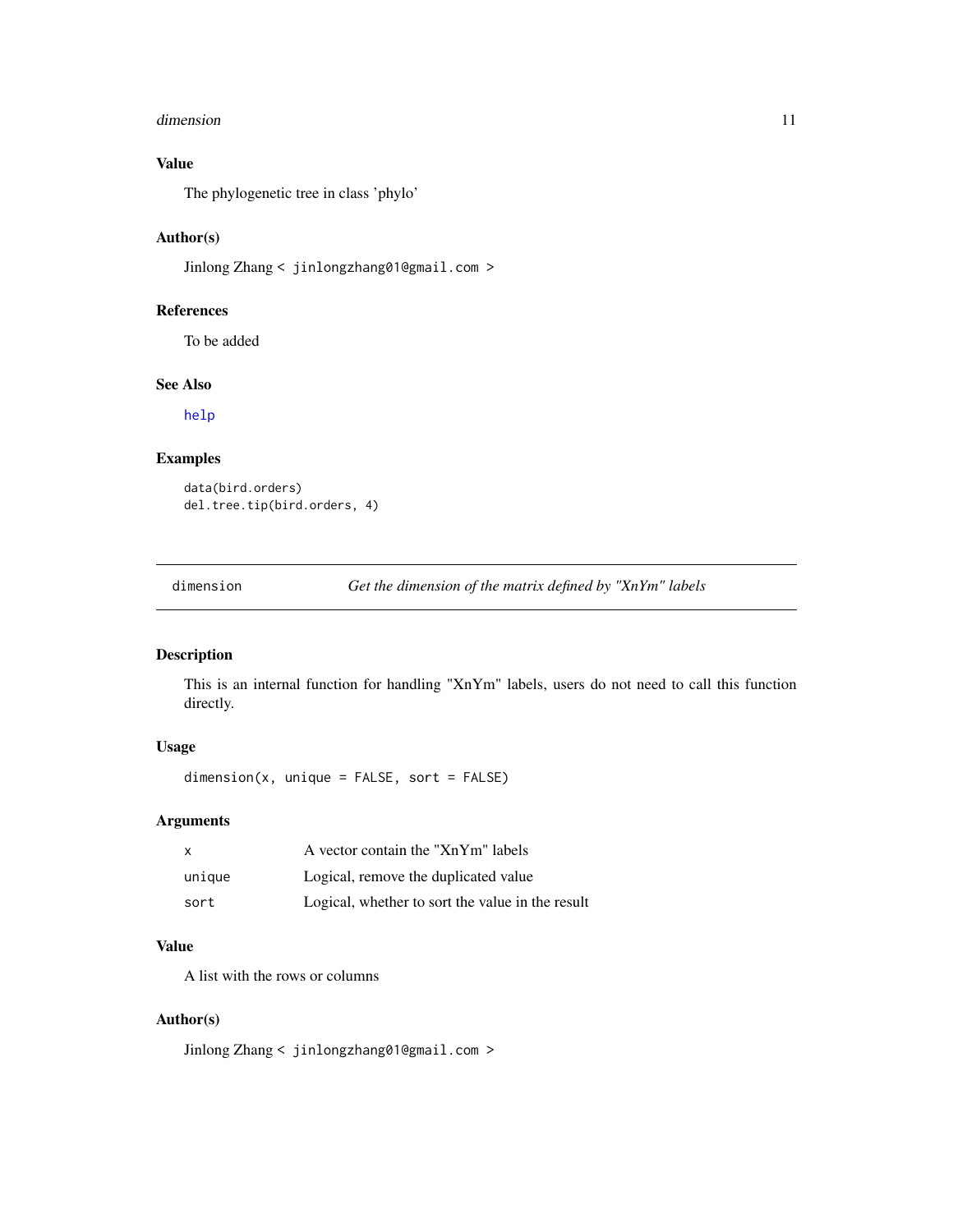#### <span id="page-10-0"></span>dimension and the contract of the contract of the contract of the contract of the contract of the contract of the contract of the contract of the contract of the contract of the contract of the contract of the contract of

# Value

The phylogenetic tree in class 'phylo'

#### Author(s)

Jinlong Zhang < jinlongzhang01@gmail.com >

#### References

To be added

# See Also

[help](#page-0-0)

#### Examples

```
data(bird.orders)
del.tree.tip(bird.orders, 4)
```
dimension *Get the dimension of the matrix defined by "XnYm" labels*

# Description

This is an internal function for handling "XnYm" labels, users do not need to call this function directly.

# Usage

dimension(x, unique = FALSE, sort = FALSE)

# Arguments

| X      | A vector contain the "XnYm" labels               |
|--------|--------------------------------------------------|
| unique | Logical, remove the duplicated value             |
| sort   | Logical, whether to sort the value in the result |

# Value

A list with the rows or columns

#### Author(s)

Jinlong Zhang < jinlongzhang01@gmail.com >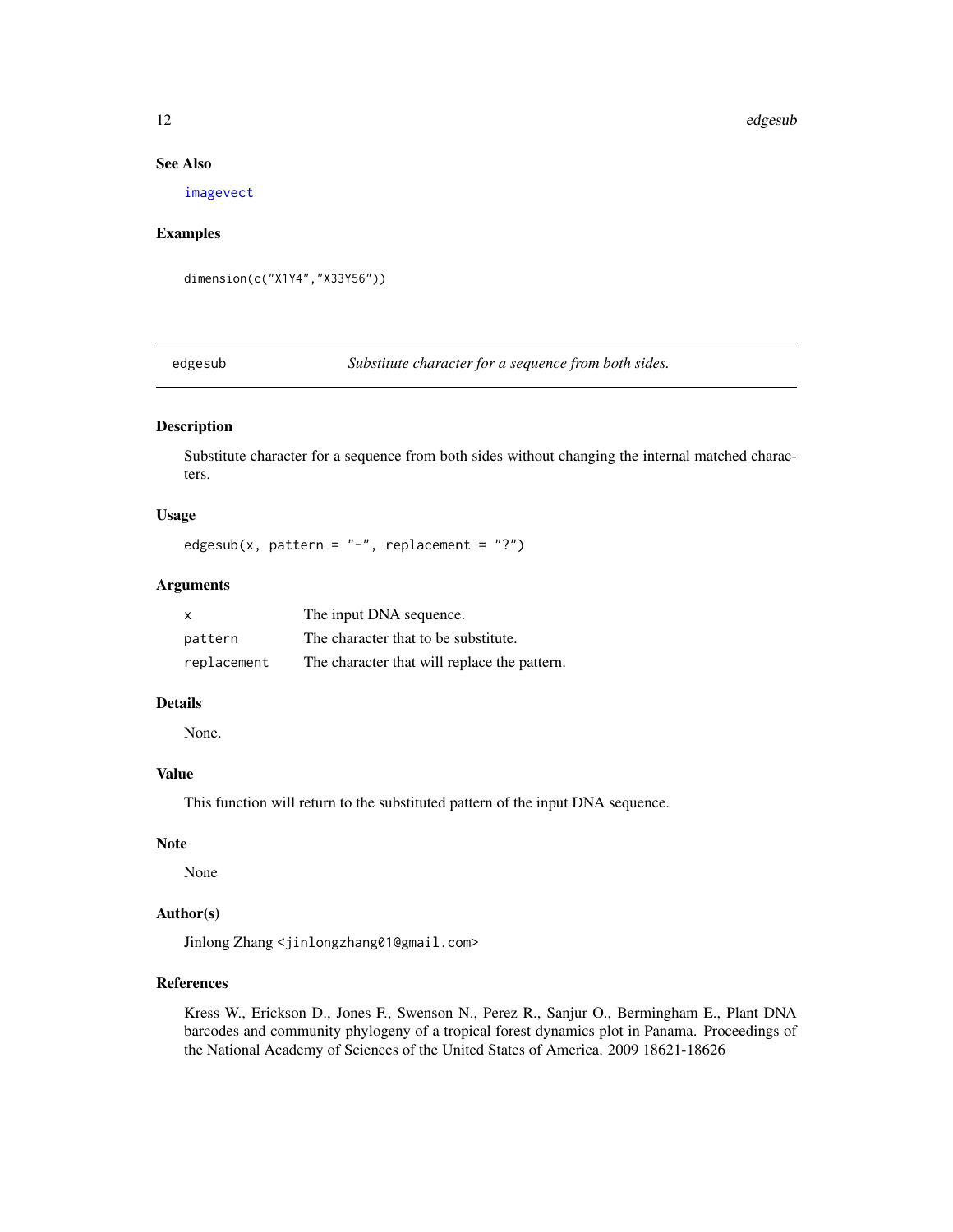#### <span id="page-11-0"></span>12 edgesub

#### See Also

[imagevect](#page-18-1)

#### Examples

dimension(c("X1Y4","X33Y56"))

<span id="page-11-1"></span>edgesub *Substitute character for a sequence from both sides.*

# Description

Substitute character for a sequence from both sides without changing the internal matched characters.

# Usage

```
edgesub(x, pattern = "-", replacement = "?")
```
# Arguments

| $\mathsf{x}$ | The input DNA sequence.                      |
|--------------|----------------------------------------------|
| pattern      | The character that to be substitute.         |
| replacement  | The character that will replace the pattern. |

#### Details

None.

# Value

This function will return to the substituted pattern of the input DNA sequence.

# Note

None

# Author(s)

Jinlong Zhang <jinlongzhang01@gmail.com>

# References

Kress W., Erickson D., Jones F., Swenson N., Perez R., Sanjur O., Bermingham E., Plant DNA barcodes and community phylogeny of a tropical forest dynamics plot in Panama. Proceedings of the National Academy of Sciences of the United States of America. 2009 18621-18626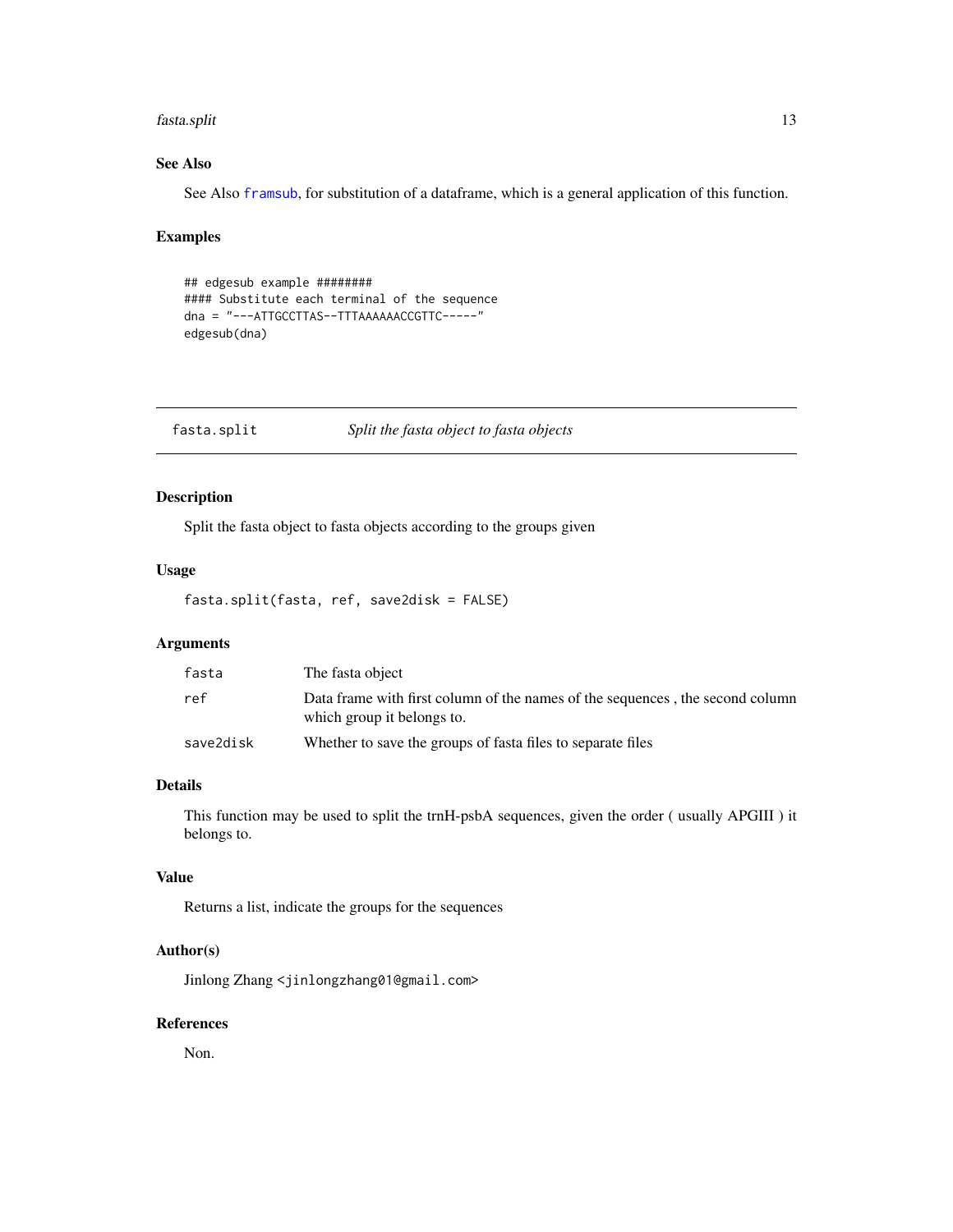#### <span id="page-12-0"></span>fasta.split 13

# See Also

See Also [framsub](#page-15-1), for substitution of a dataframe, which is a general application of this function.

#### Examples

```
## edgesub example ########
#### Substitute each terminal of the sequence
dna = "---ATTGCCTTAS--TTTAAAAAACCGTTC-----"
edgesub(dna)
```
fasta.split *Split the fasta object to fasta objects*

# Description

Split the fasta object to fasta objects according to the groups given

#### Usage

fasta.split(fasta, ref, save2disk = FALSE)

# Arguments

| fasta     | The fasta object                                                                                            |
|-----------|-------------------------------------------------------------------------------------------------------------|
| ref       | Data frame with first column of the names of the sequences, the second column<br>which group it belongs to. |
| save2disk | Whether to save the groups of fasta files to separate files                                                 |

# Details

This function may be used to split the trnH-psbA sequences, given the order ( usually APGIII ) it belongs to.

# Value

Returns a list, indicate the groups for the sequences

# Author(s)

Jinlong Zhang <jinlongzhang01@gmail.com>

#### References

Non.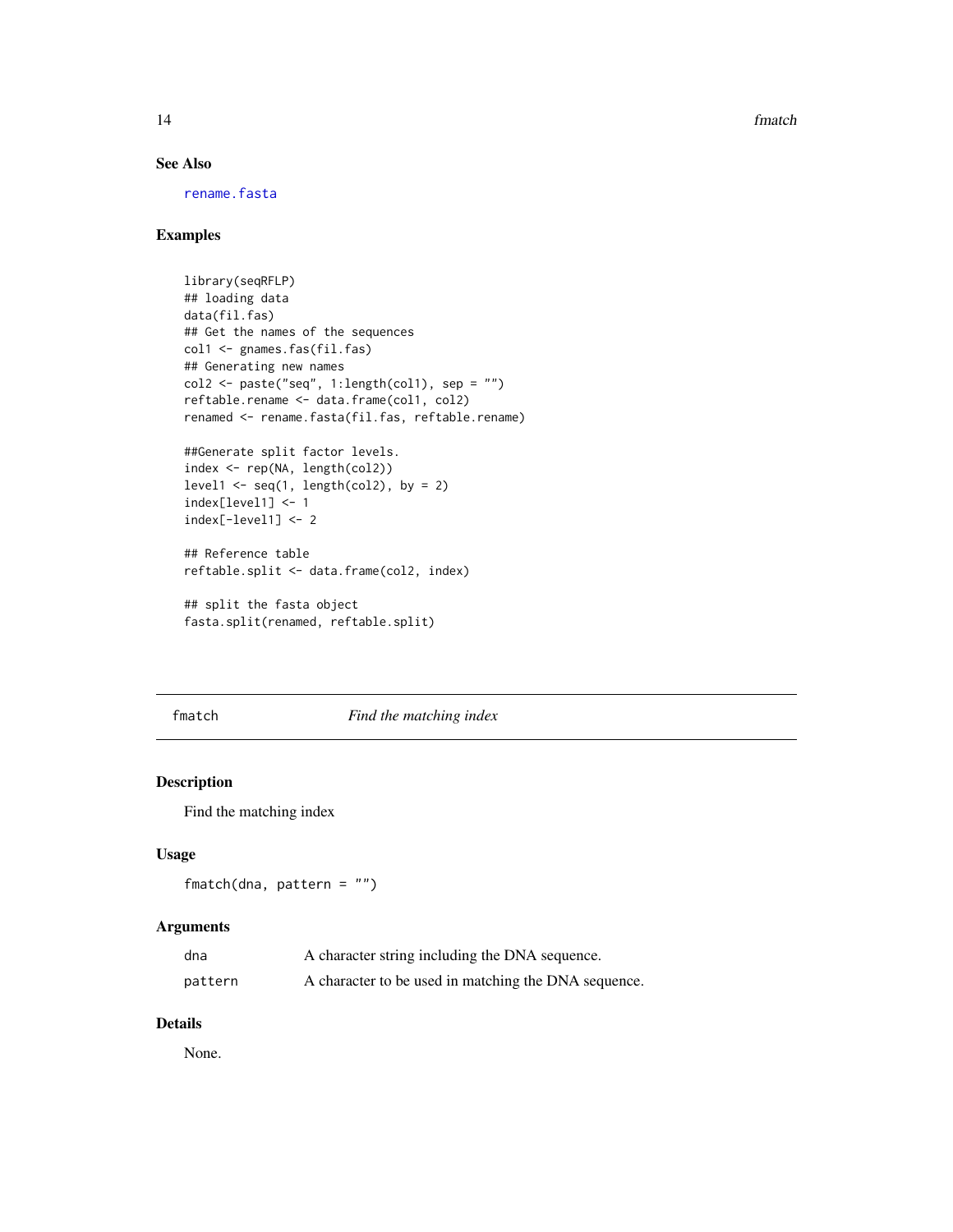<span id="page-13-0"></span>14 fmatch

# See Also

[rename.fasta](#page-31-1)

# Examples

```
library(seqRFLP)
## loading data
data(fil.fas)
## Get the names of the sequences
col1 <- gnames.fas(fil.fas)
## Generating new names
col2 \leftarrow paste("seq", 1:length(col1), sep = "")
reftable.rename <- data.frame(col1, col2)
renamed <- rename.fasta(fil.fas, reftable.rename)
##Generate split factor levels.
index <- rep(NA, length(col2))
level1 \leq seq(1, length(col2), by = 2)
index[level1] <- 1
index[-level1] <- 2
## Reference table
reftable.split <- data.frame(col2, index)
## split the fasta object
fasta.split(renamed, reftable.split)
```
<span id="page-13-1"></span>fmatch *Find the matching index*

# Description

Find the matching index

# Usage

fmatch(dna, pattern = "")

#### Arguments

| dna     | A character string including the DNA sequence.       |
|---------|------------------------------------------------------|
| pattern | A character to be used in matching the DNA sequence. |

# Details

None.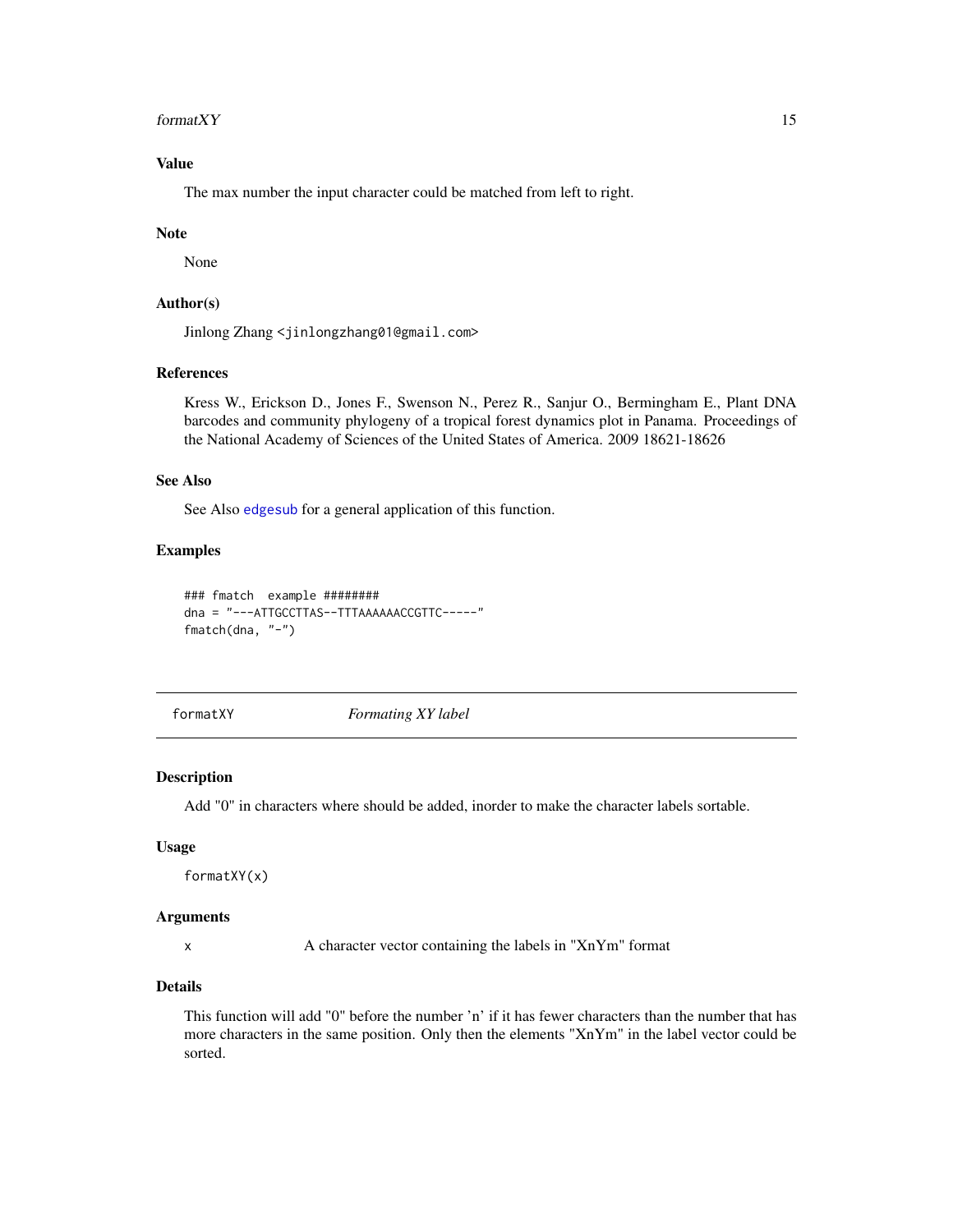#### <span id="page-14-0"></span>formatXY  $15$

# Value

The max number the input character could be matched from left to right.

#### Note

None

#### Author(s)

Jinlong Zhang <jinlongzhang01@gmail.com>

#### References

Kress W., Erickson D., Jones F., Swenson N., Perez R., Sanjur O., Bermingham E., Plant DNA barcodes and community phylogeny of a tropical forest dynamics plot in Panama. Proceedings of the National Academy of Sciences of the United States of America. 2009 18621-18626

#### See Also

See Also [edgesub](#page-11-1) for a general application of this function.

# Examples

```
### fmatch example ########
dna = "---ATTGCCTTAS--TTTAAAAAACCGTTC-----"
fmatch(dna, "-")
```
formatXY *Formating XY label*

# Description

Add "0" in characters where should be added, inorder to make the character labels sortable.

#### Usage

formatXY(x)

# Arguments

x A character vector containing the labels in "XnYm" format

### Details

This function will add "0" before the number 'n' if it has fewer characters than the number that has more characters in the same position. Only then the elements "XnYm" in the label vector could be sorted.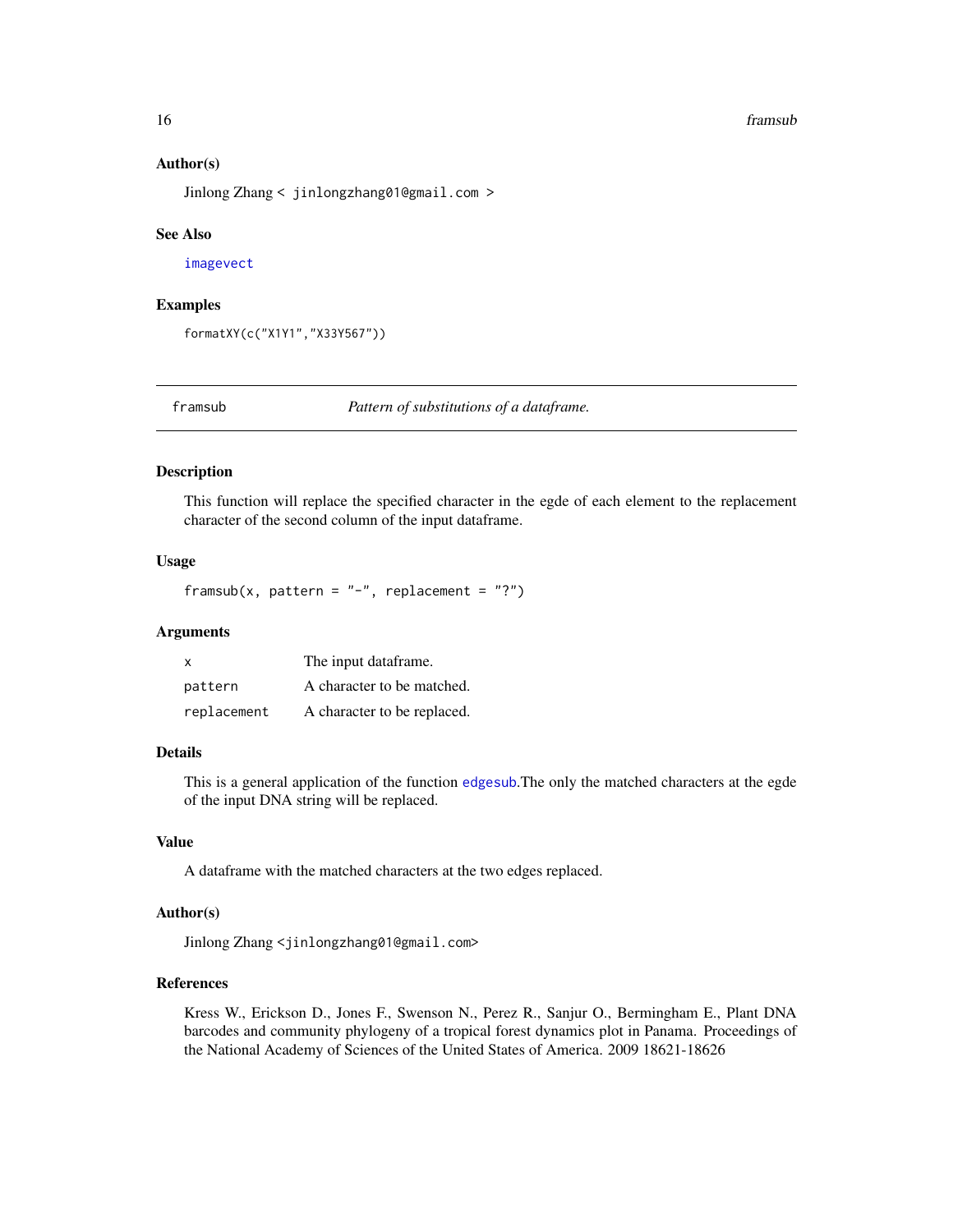#### <span id="page-15-0"></span>16 framsub

#### Author(s)

Jinlong Zhang < jinlongzhang01@gmail.com >

#### See Also

[imagevect](#page-18-1)

#### Examples

formatXY(c("X1Y1","X33Y567"))

<span id="page-15-1"></span>

framsub *Pattern of substitutions of a dataframe.*

#### Description

This function will replace the specified character in the egde of each element to the replacement character of the second column of the input dataframe.

#### Usage

framsub(x, pattern =  $"$ -", replacement = "?")

#### Arguments

| X           | The input dataframe.        |
|-------------|-----------------------------|
| pattern     | A character to be matched.  |
| replacement | A character to be replaced. |

#### Details

This is a general application of the function [edgesub](#page-11-1).The only the matched characters at the egde of the input DNA string will be replaced.

#### Value

A dataframe with the matched characters at the two edges replaced.

#### Author(s)

Jinlong Zhang <jinlongzhang01@gmail.com>

# References

Kress W., Erickson D., Jones F., Swenson N., Perez R., Sanjur O., Bermingham E., Plant DNA barcodes and community phylogeny of a tropical forest dynamics plot in Panama. Proceedings of the National Academy of Sciences of the United States of America. 2009 18621-18626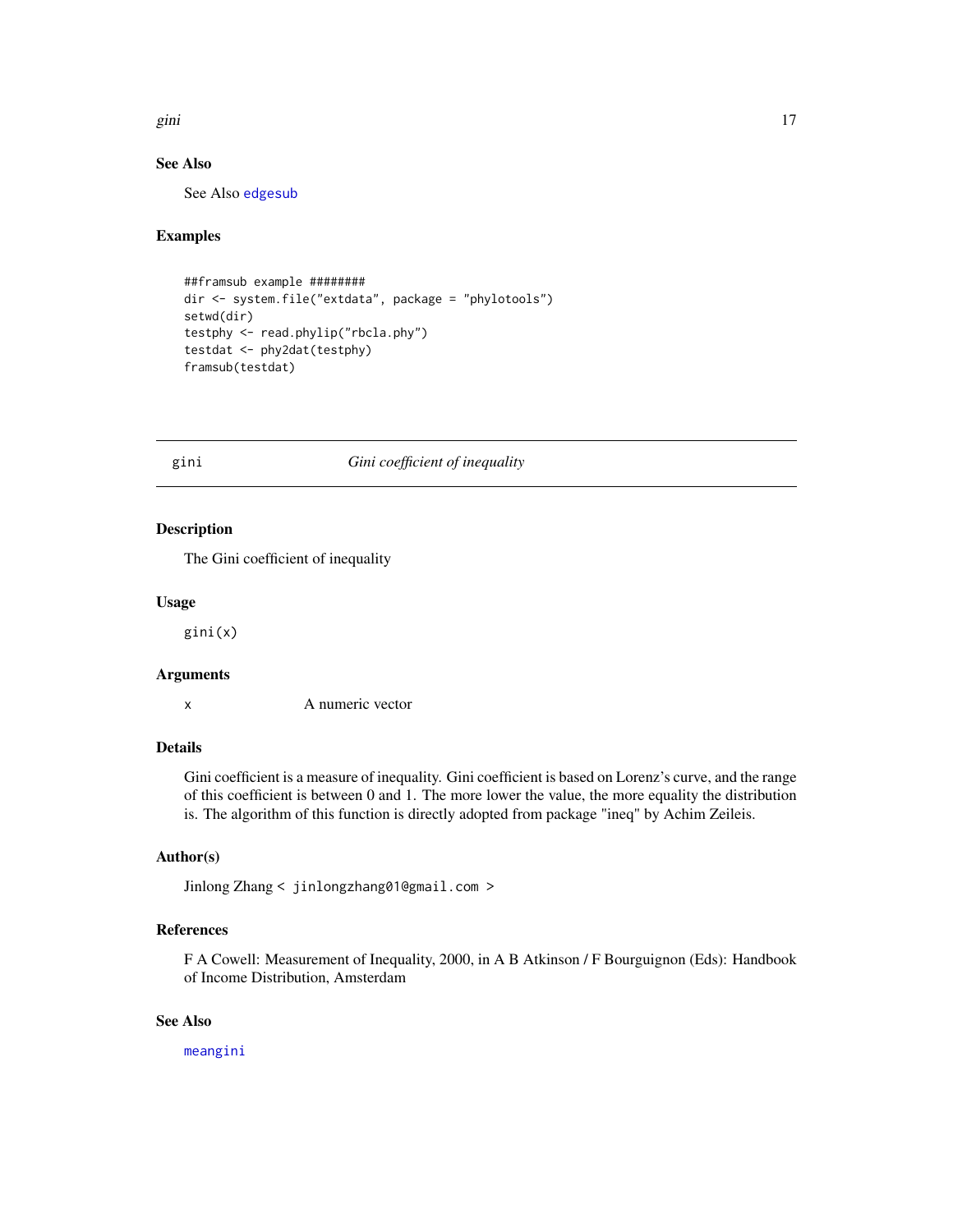<span id="page-16-0"></span>gini 17

# See Also

See Also [edgesub](#page-11-1)

# Examples

```
##framsub example ########
dir <- system.file("extdata", package = "phylotools")
setwd(dir)
testphy <- read.phylip("rbcla.phy")
testdat <- phy2dat(testphy)
framsub(testdat)
```
# <span id="page-16-1"></span>gini *Gini coefficient of inequality*

# Description

The Gini coefficient of inequality

### Usage

gini(x)

#### Arguments

x A numeric vector

#### Details

Gini coefficient is a measure of inequality. Gini coefficient is based on Lorenz's curve, and the range of this coefficient is between 0 and 1. The more lower the value, the more equality the distribution is. The algorithm of this function is directly adopted from package "ineq" by Achim Zeileis.

# Author(s)

Jinlong Zhang < jinlongzhang01@gmail.com >

# References

F A Cowell: Measurement of Inequality, 2000, in A B Atkinson / F Bourguignon (Eds): Handbook of Income Distribution, Amsterdam

# See Also

[meangini](#page-21-1)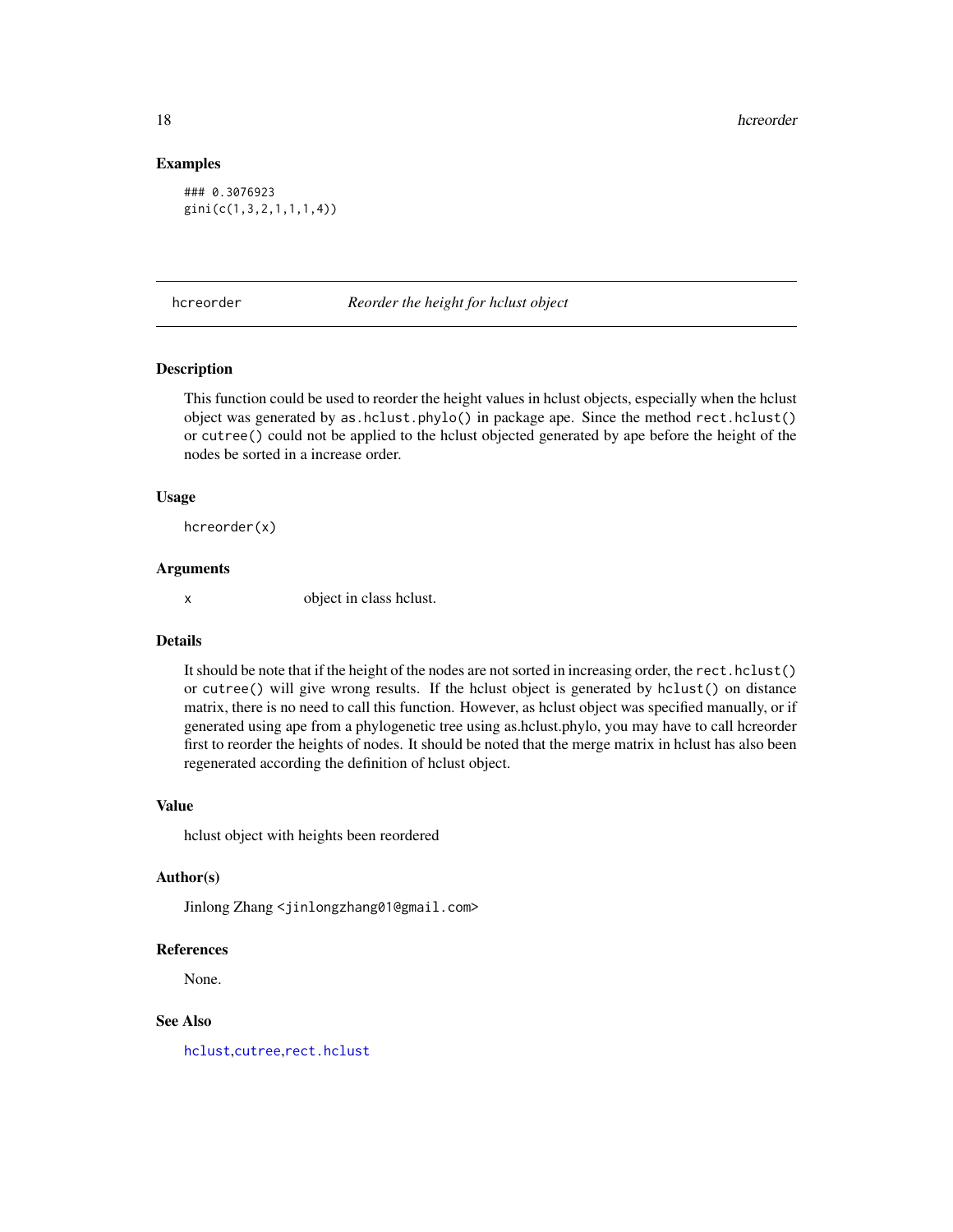<span id="page-17-0"></span>18 hereorder and the state of the state of the state of the state of the state of the state of the state of the state of the state of the state of the state of the state of the state of the state of the state of the state

#### Examples

### 0.3076923 gini(c(1,3,2,1,1,1,4))

hcreorder *Reorder the height for hclust object*

### Description

This function could be used to reorder the height values in hclust objects, especially when the hclust object was generated by as.hclust.phylo() in package ape. Since the method rect.hclust() or cutree() could not be applied to the hclust objected generated by ape before the height of the nodes be sorted in a increase order.

#### Usage

hcreorder(x)

#### Arguments

x object in class hclust.

# Details

It should be note that if the height of the nodes are not sorted in increasing order, the rect.hclust() or cutree() will give wrong results. If the hclust object is generated by hclust() on distance matrix, there is no need to call this function. However, as hclust object was specified manually, or if generated using ape from a phylogenetic tree using as.hclust.phylo, you may have to call hcreorder first to reorder the heights of nodes. It should be noted that the merge matrix in hclust has also been regenerated according the definition of hclust object.

# Value

hclust object with heights been reordered

#### Author(s)

Jinlong Zhang <jinlongzhang01@gmail.com>

# References

None.

# See Also

[hclust](#page-0-0),[cutree](#page-0-0),[rect.hclust](#page-0-0)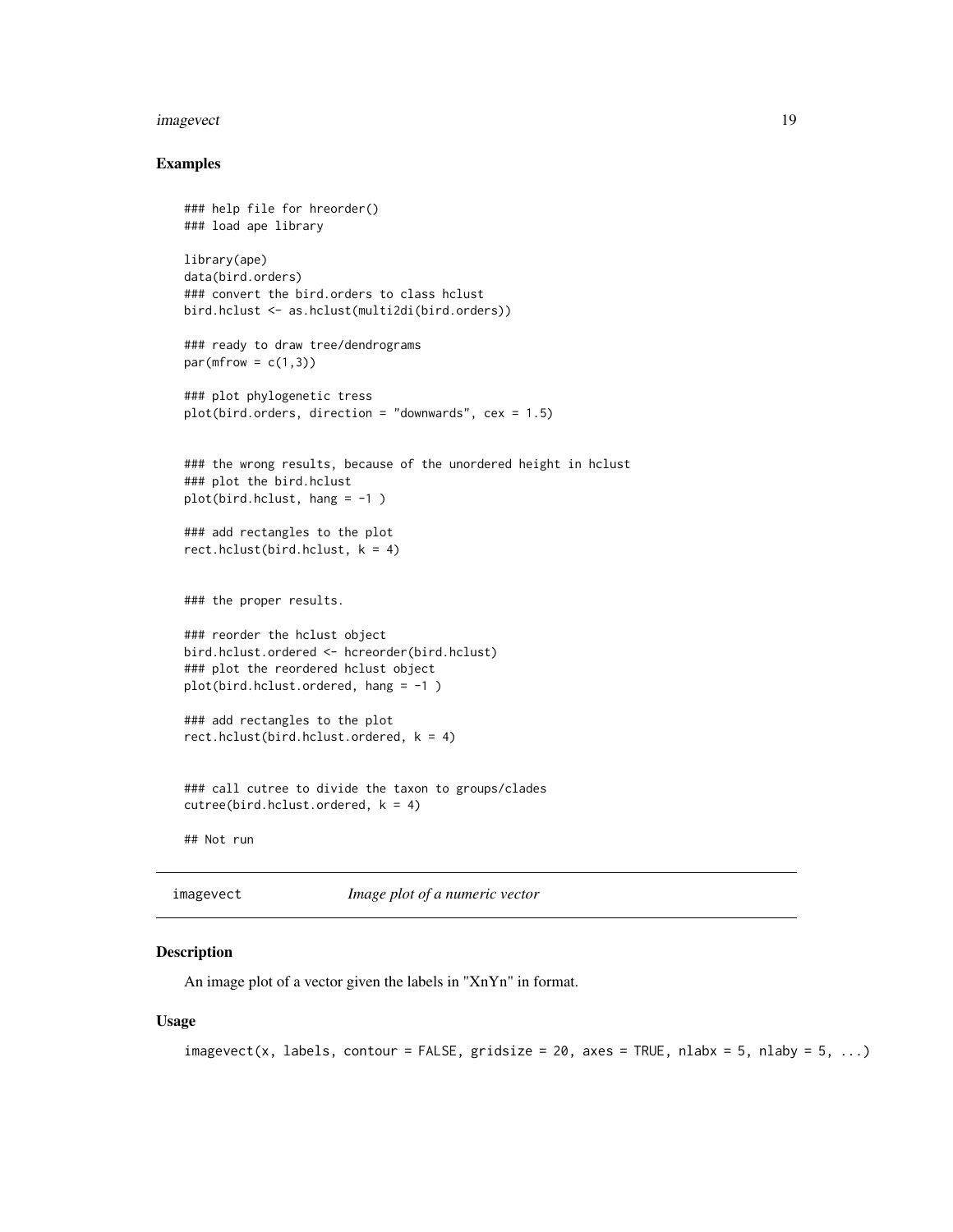#### <span id="page-18-0"></span>imagevect and the contract of the contract of the contract of the contract of the contract of the contract of the contract of the contract of the contract of the contract of the contract of the contract of the contract of

#### Examples

```
### help file for hreorder()
### load ape library
library(ape)
data(bird.orders)
### convert the bird.orders to class hclust
bird.hclust <- as.hclust(multi2di(bird.orders))
### ready to draw tree/dendrograms
par(mfrow = c(1,3))### plot phylogenetic tress
plot(bird.orders, direction = "downwards", cex = 1.5)
### the wrong results, because of the unordered height in hclust
### plot the bird.hclust
plot(bird.hclust, hang = -1 )
### add rectangles to the plot
rect.hclust(bird.hclust, k = 4)
### the proper results.
### reorder the hclust object
bird.hclust.ordered <- hcreorder(bird.hclust)
### plot the reordered hclust object
plot(bird.hclust.ordered, hang = -1 )
### add rectangles to the plot
rect.hclust(bird.hclust.ordered, k = 4)
### call cutree to divide the taxon to groups/clades
cutree(bird.hclust.ordered, k = 4)## Not run
```
imagevect *Image plot of a numeric vector*

#### Description

An image plot of a vector given the labels in "XnYn" in format.

#### Usage

```
imagevect(x, labels, contour = FALSE, gridsize = 20, axes = TRUE, nlabx = 5, nlaby = 5, ...)
```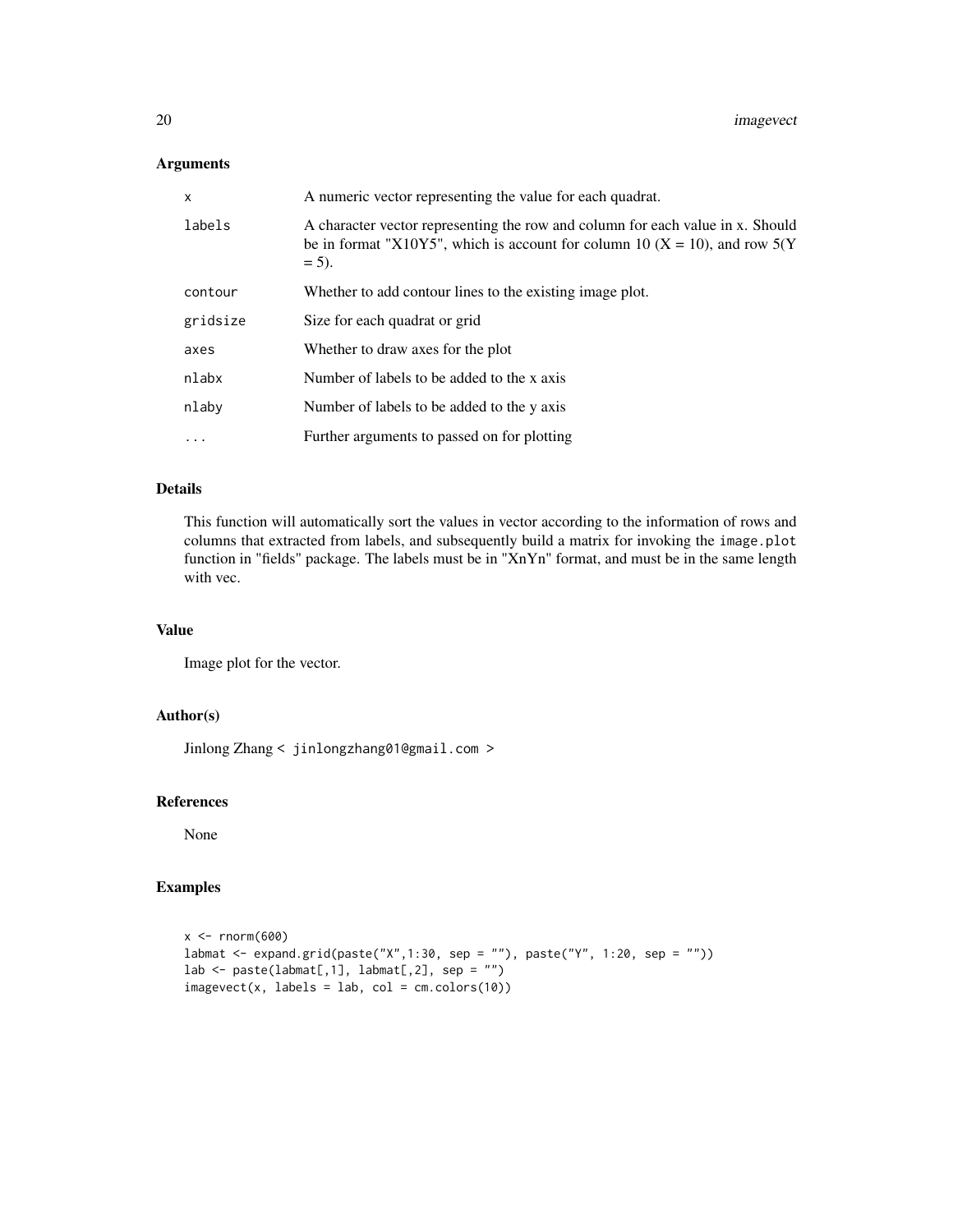# Arguments

| X        | A numeric vector representing the value for each quadrat.                                                                                                                |  |
|----------|--------------------------------------------------------------------------------------------------------------------------------------------------------------------------|--|
| labels   | A character vector representing the row and column for each value in x. Should<br>be in format "X10Y5", which is account for column 10 (X = 10), and row 5(Y<br>$= 5$ ). |  |
| contour  | Whether to add contour lines to the existing image plot.                                                                                                                 |  |
| gridsize | Size for each quadrat or grid                                                                                                                                            |  |
| axes     | Whether to draw axes for the plot                                                                                                                                        |  |
| nlabx    | Number of labels to be added to the x axis                                                                                                                               |  |
| nlaby    | Number of labels to be added to the y axis                                                                                                                               |  |
| $\cdots$ | Further arguments to passed on for plotting                                                                                                                              |  |

# Details

This function will automatically sort the values in vector according to the information of rows and columns that extracted from labels, and subsequently build a matrix for invoking the image.plot function in "fields" package. The labels must be in "XnYn" format, and must be in the same length with vec.

# Value

Image plot for the vector.

# Author(s)

Jinlong Zhang < jinlongzhang01@gmail.com >

#### References

None

```
x < - rnorm(600)
labmat <- expand.grid(paste("X",1:30, sep = ""), paste("Y", 1:20, sep = ""))
lab \leftarrow paste(labmat[,1], labmat[,2], sep = "")imagevect(x, labels = lab, col = cm.colors(10))
```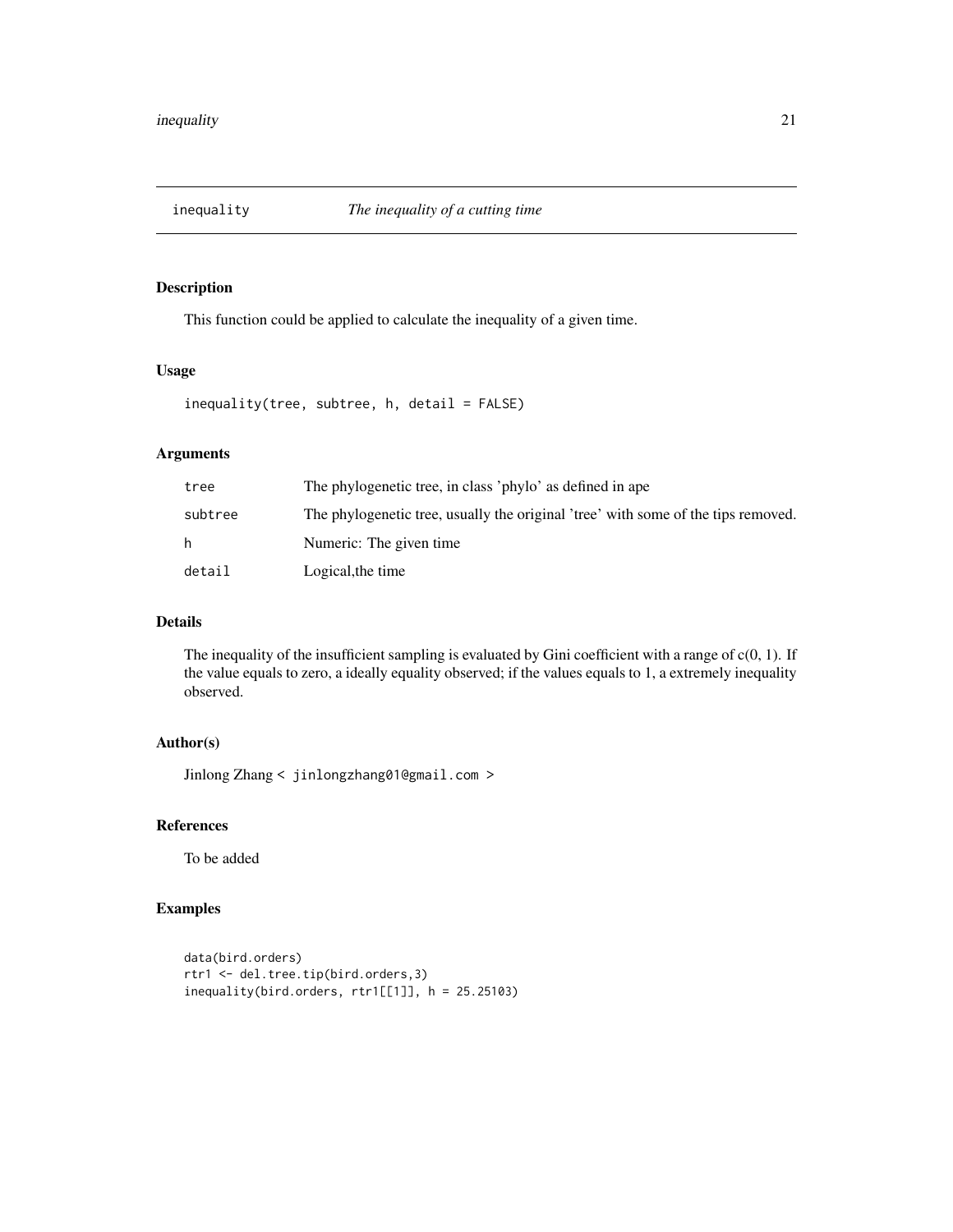<span id="page-20-0"></span>

This function could be applied to calculate the inequality of a given time.

# Usage

```
inequality(tree, subtree, h, detail = FALSE)
```
# Arguments

| tree    | The phylogenetic tree, in class 'phylo' as defined in ape                         |
|---------|-----------------------------------------------------------------------------------|
| subtree | The phylogenetic tree, usually the original 'tree' with some of the tips removed. |
| h.      | Numeric: The given time                                                           |
| detail  | Logical, the time                                                                 |

# Details

The inequality of the insufficient sampling is evaluated by Gini coefficient with a range of  $c(0, 1)$ . If the value equals to zero, a ideally equality observed; if the values equals to 1, a extremely inequality observed.

# Author(s)

Jinlong Zhang < jinlongzhang01@gmail.com >

# References

To be added

```
data(bird.orders)
rtr1 <- del.tree.tip(bird.orders,3)
inequality(bird.orders, rtr1[[1]], h = 25.25103)
```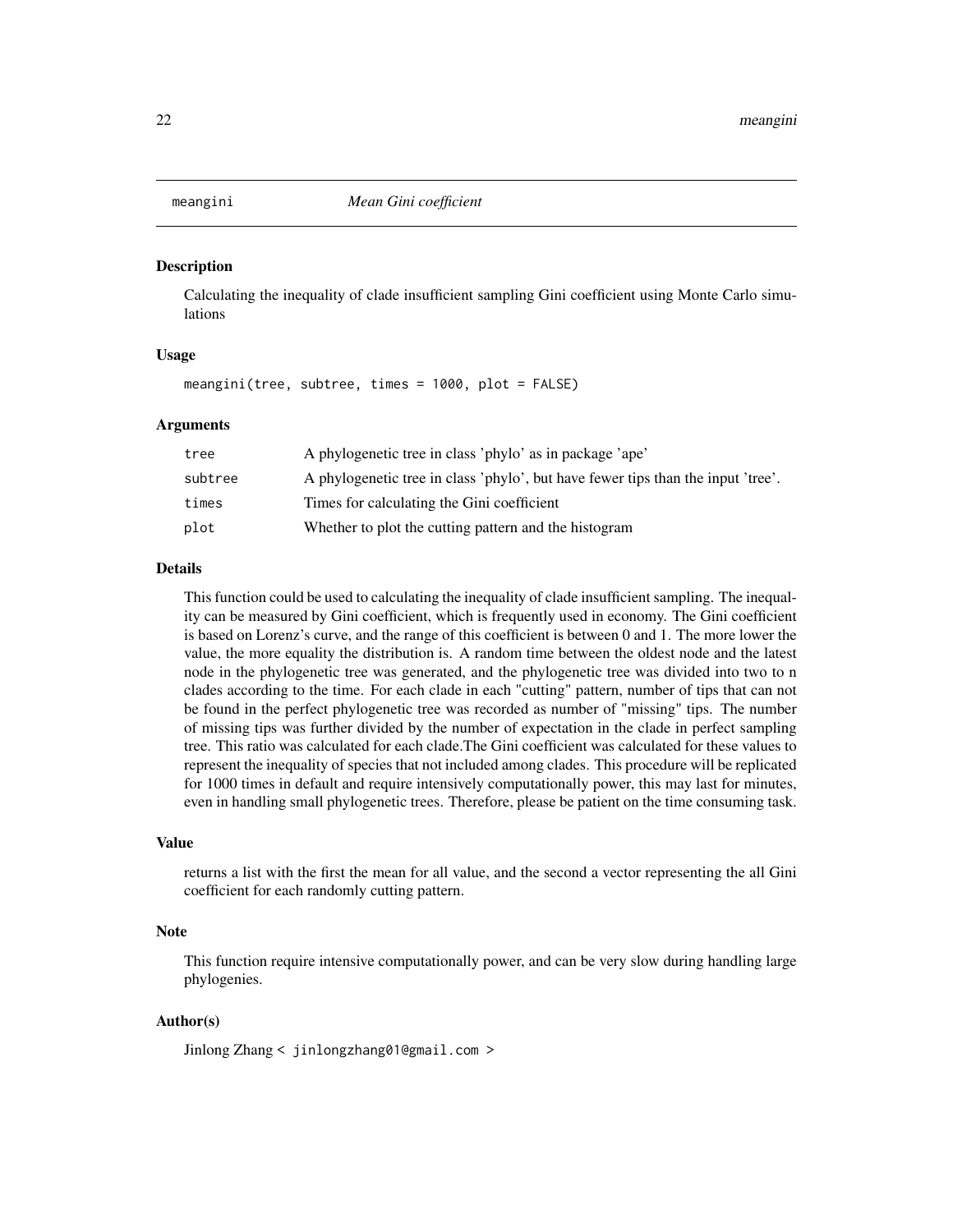<span id="page-21-1"></span><span id="page-21-0"></span>

Calculating the inequality of clade insufficient sampling Gini coefficient using Monte Carlo simulations

#### Usage

meangini(tree, subtree, times = 1000, plot = FALSE)

#### Arguments

| tree    | A phylogenetic tree in class 'phylo' as in package 'ape'                         |
|---------|----------------------------------------------------------------------------------|
| subtree | A phylogenetic tree in class 'phylo', but have fewer tips than the input 'tree'. |
| times   | Times for calculating the Gini coefficient                                       |
| plot    | Whether to plot the cutting pattern and the histogram                            |

# Details

This function could be used to calculating the inequality of clade insufficient sampling. The inequality can be measured by Gini coefficient, which is frequently used in economy. The Gini coefficient is based on Lorenz's curve, and the range of this coefficient is between 0 and 1. The more lower the value, the more equality the distribution is. A random time between the oldest node and the latest node in the phylogenetic tree was generated, and the phylogenetic tree was divided into two to n clades according to the time. For each clade in each "cutting" pattern, number of tips that can not be found in the perfect phylogenetic tree was recorded as number of "missing" tips. The number of missing tips was further divided by the number of expectation in the clade in perfect sampling tree. This ratio was calculated for each clade.The Gini coefficient was calculated for these values to represent the inequality of species that not included among clades. This procedure will be replicated for 1000 times in default and require intensively computationally power, this may last for minutes, even in handling small phylogenetic trees. Therefore, please be patient on the time consuming task.

#### Value

returns a list with the first the mean for all value, and the second a vector representing the all Gini coefficient for each randomly cutting pattern.

# Note

This function require intensive computationally power, and can be very slow during handling large phylogenies.

#### Author(s)

Jinlong Zhang < jinlongzhang01@gmail.com >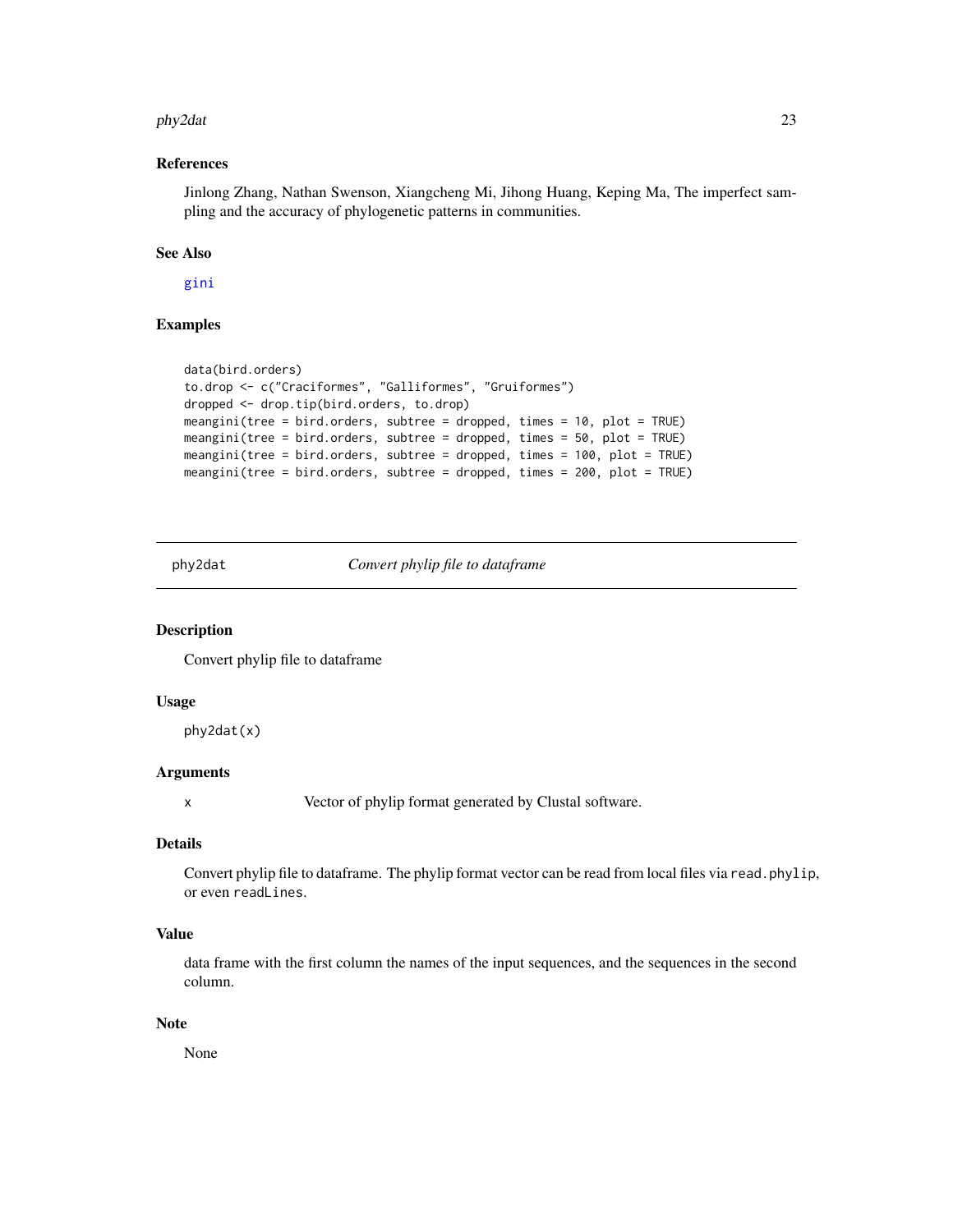#### <span id="page-22-0"></span>phy2dat 23

#### References

Jinlong Zhang, Nathan Swenson, Xiangcheng Mi, Jihong Huang, Keping Ma, The imperfect sampling and the accuracy of phylogenetic patterns in communities.

# See Also

[gini](#page-16-1)

# Examples

```
data(bird.orders)
to.drop <- c("Craciformes", "Galliformes", "Gruiformes")
dropped <- drop.tip(bird.orders, to.drop)
meangini(tree = bird.orders, subtree = dropped, times = 10, plot = TRUE)
meangini(tree = bird.orders, subtree = dropped, times = 50, plot = TRUE)
meangini(tree = bird.orders, subtree = dropped, times = 100, plot = TRUE)
meangini(tree = bird.orders, subtree = dropped, times = 200, plot = TRUE)
```
<span id="page-22-1"></span>phy2dat *Convert phylip file to dataframe*

#### Description

Convert phylip file to dataframe

#### Usage

phy2dat(x)

#### Arguments

x Vector of phylip format generated by Clustal software.

#### Details

Convert phylip file to dataframe. The phylip format vector can be read from local files via read.phylip, or even readLines.

# Value

data frame with the first column the names of the input sequences, and the sequences in the second column.

#### Note

None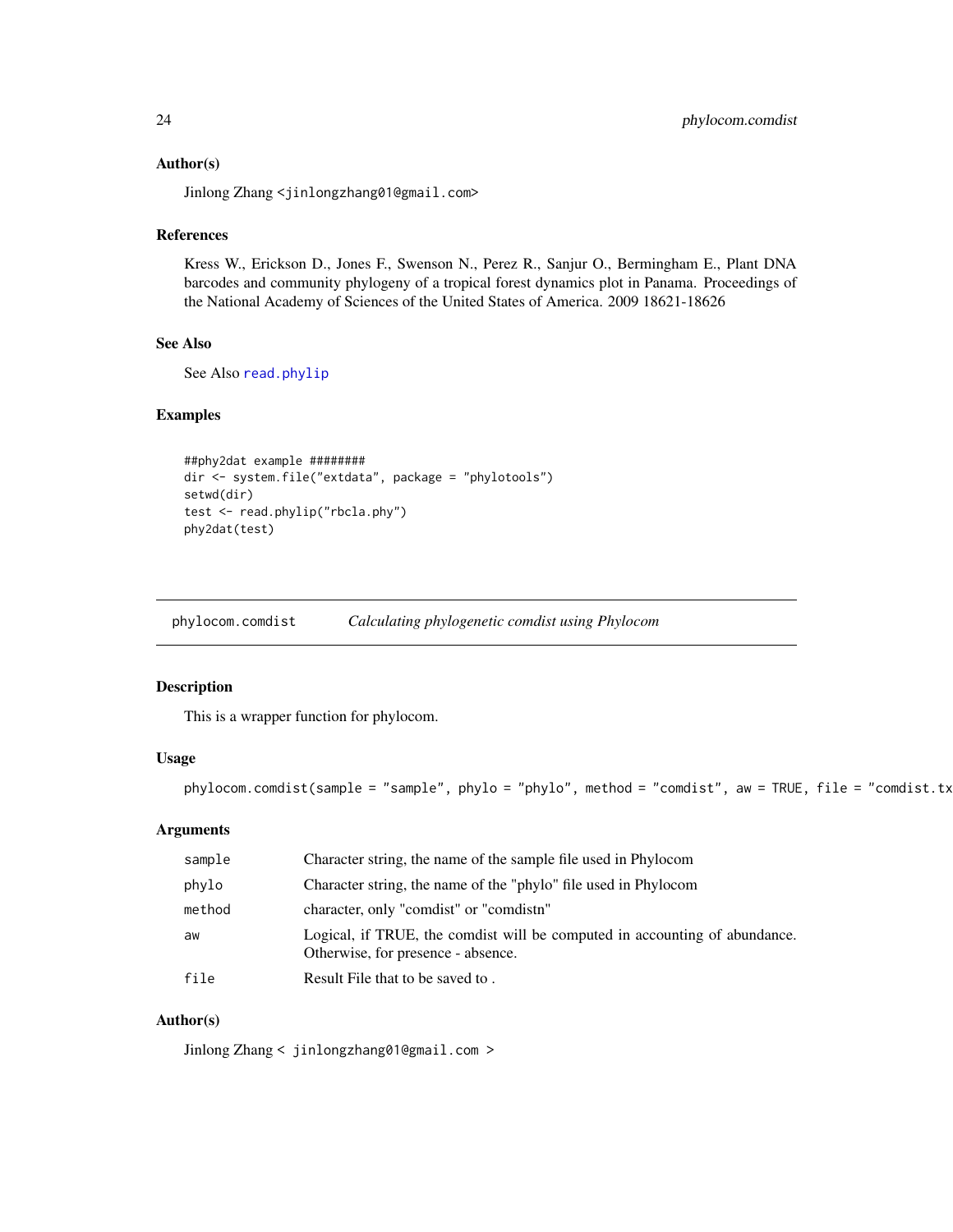#### <span id="page-23-0"></span>Author(s)

Jinlong Zhang <jinlongzhang01@gmail.com>

# References

Kress W., Erickson D., Jones F., Swenson N., Perez R., Sanjur O., Bermingham E., Plant DNA barcodes and community phylogeny of a tropical forest dynamics plot in Panama. Proceedings of the National Academy of Sciences of the United States of America. 2009 18621-18626

# See Also

See Also [read.phylip](#page-30-1)

#### Examples

```
##phy2dat example ########
dir <- system.file("extdata", package = "phylotools")
setwd(dir)
test <- read.phylip("rbcla.phy")
phy2dat(test)
```
<span id="page-23-1"></span>phylocom.comdist *Calculating phylogenetic comdist using Phylocom*

#### Description

This is a wrapper function for phylocom.

# Usage

```
phylocom.comdist(sample = "sample", phylo = "phylo", method = "comdist", aw = TRUE, file = "comdist.tx
```
# Arguments

| sample | Character string, the name of the sample file used in Phylocom                                                   |
|--------|------------------------------------------------------------------------------------------------------------------|
| phylo  | Character string, the name of the "phylo" file used in Phylocom                                                  |
| method | character, only "comdist" or "comdistn"                                                                          |
| aw     | Logical, if TRUE, the comdist will be computed in accounting of abundance.<br>Otherwise, for presence - absence. |
| file   | Result File that to be saved to.                                                                                 |

# Author(s)

Jinlong Zhang < jinlongzhang01@gmail.com >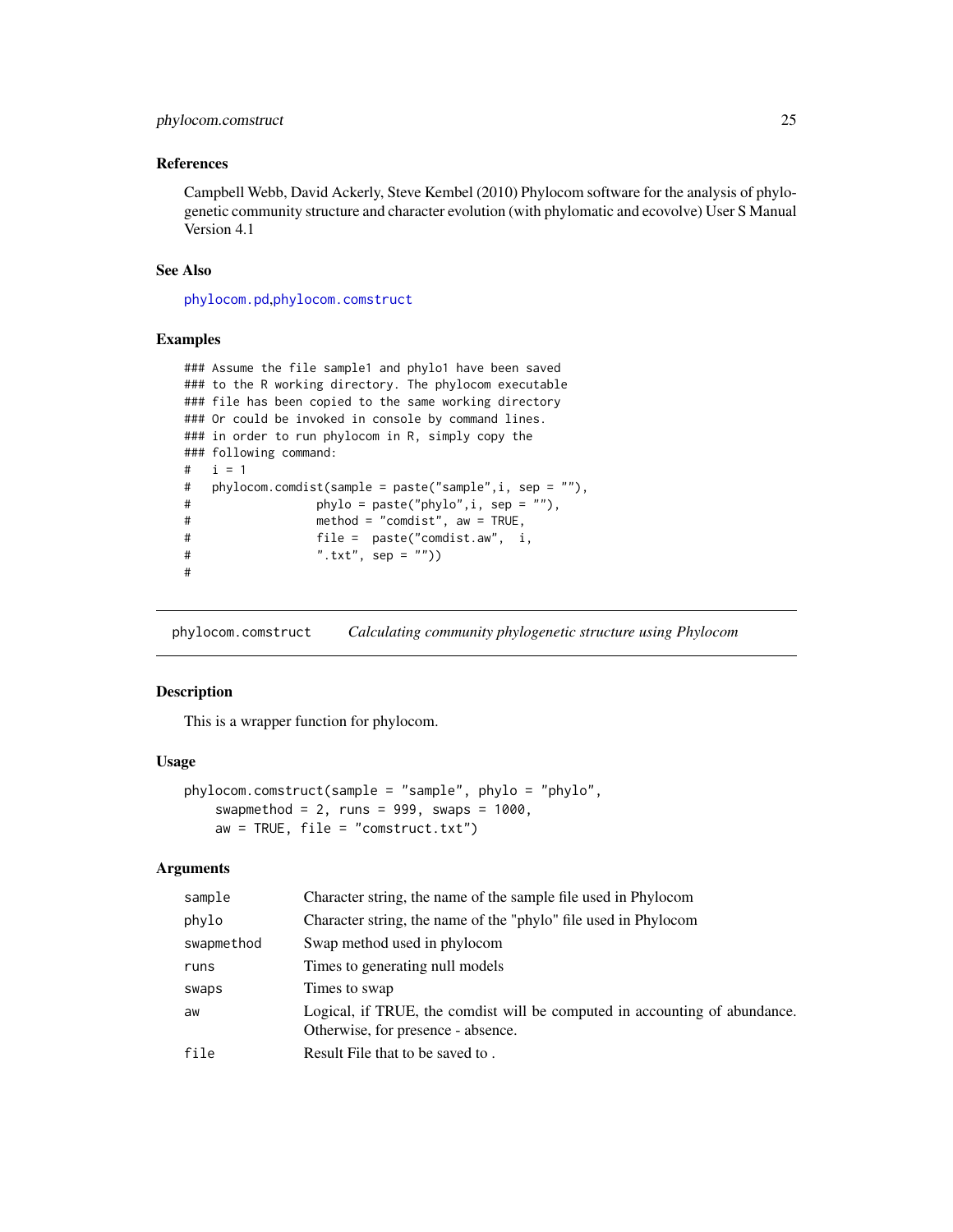# <span id="page-24-0"></span>phylocom.comstruct 25

# References

Campbell Webb, David Ackerly, Steve Kembel (2010) Phylocom software for the analysis of phylogenetic community structure and character evolution (with phylomatic and ecovolve) User S Manual Version 4.1

#### See Also

[phylocom.pd](#page-25-1),[phylocom.comstruct](#page-24-1)

#### Examples

```
### Assume the file sample1 and phylo1 have been saved
### to the R working directory. The phylocom executable
### file has been copied to the same working directory
### Or could be invoked in console by command lines.
### in order to run phylocom in R, simply copy the
### following command:
# i = 1
# phylocom.comdist(sample = paste("sample",i, sep = ""),
# phylo = paste("phylo",i, sep = ""),
# method = "comdist", aw = TRUE,
# file = paste("comdist.aw", i,
# ".txt", sep = ""))
#
```
<span id="page-24-1"></span>phylocom.comstruct *Calculating community phylogenetic structure using Phylocom*

#### Description

This is a wrapper function for phylocom.

# Usage

```
phylocom.comstruct(sample = "sample", phylo = "phylo",
    swapmethod = 2, runs = 999, swaps = 1000,
   aw = TRUE, file = "construct.txt")
```
#### **Arguments**

| sample     | Character string, the name of the sample file used in Phylocom                                                   |
|------------|------------------------------------------------------------------------------------------------------------------|
| phylo      | Character string, the name of the "phylo" file used in Phylocom                                                  |
| swapmethod | Swap method used in phylocom                                                                                     |
| runs       | Times to generating null models                                                                                  |
| swaps      | Times to swap                                                                                                    |
| aw         | Logical, if TRUE, the comdist will be computed in accounting of abundance.<br>Otherwise, for presence - absence. |
| file       | Result File that to be saved to.                                                                                 |
|            |                                                                                                                  |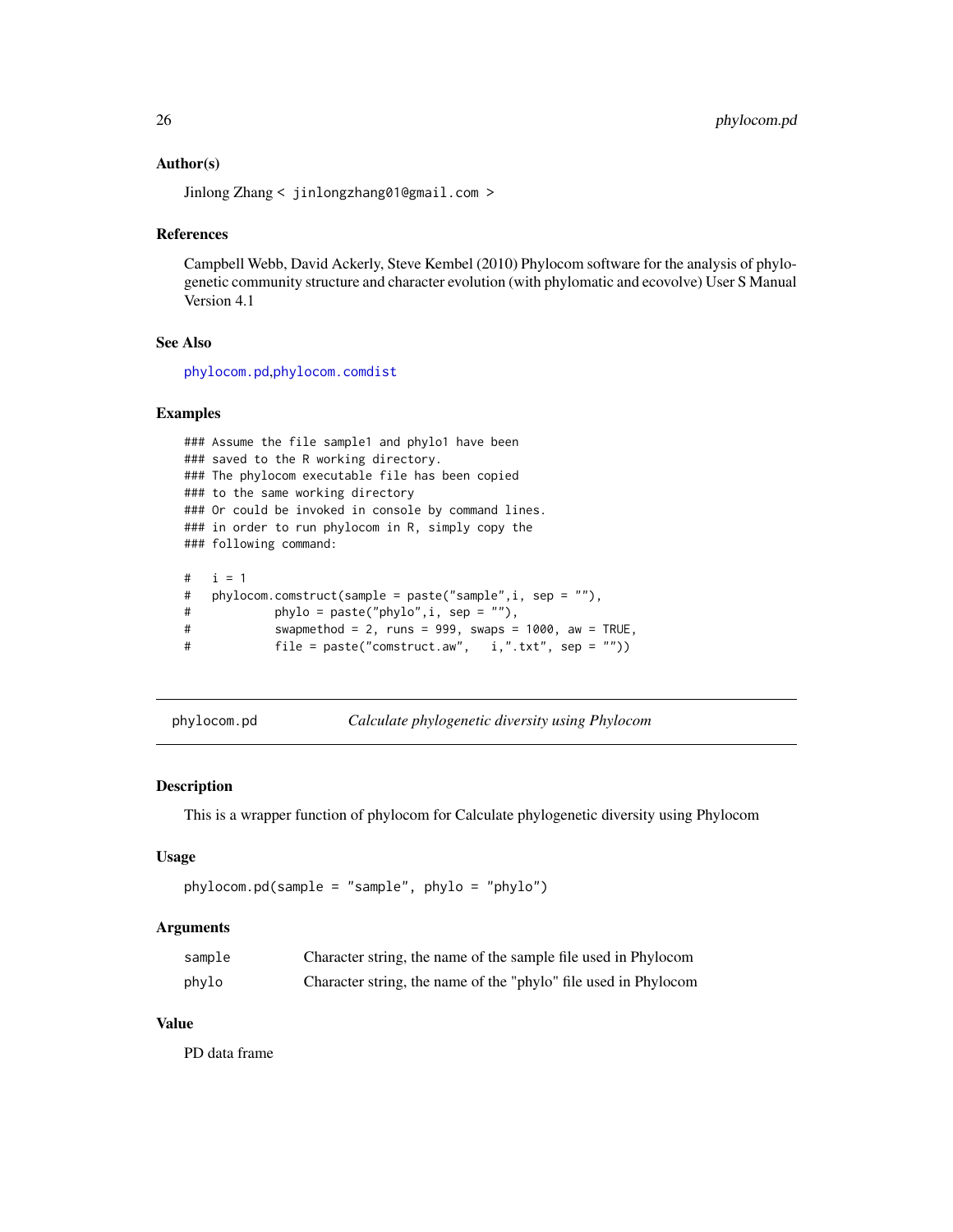#### <span id="page-25-0"></span>Author(s)

Jinlong Zhang < jinlongzhang01@gmail.com >

#### References

Campbell Webb, David Ackerly, Steve Kembel (2010) Phylocom software for the analysis of phylogenetic community structure and character evolution (with phylomatic and ecovolve) User S Manual Version 4.1

# See Also

[phylocom.pd](#page-25-1),[phylocom.comdist](#page-23-1)

#### Examples

```
### Assume the file sample1 and phylo1 have been
### saved to the R working directory.
### The phylocom executable file has been copied
### to the same working directory
### Or could be invoked in console by command lines.
### in order to run phylocom in R, simply copy the
### following command:
# i = 1
# phylocom.comstruct(sample = paste("sample",i, sep = ""),
# phylo = paste("phylo",i, sep = ""),
# swapmethod = 2, runs = 999, swaps = 1000, aw = TRUE,
# file = paste("comstruct.aw", i,".txt", sep = ""))
```

```
phylocom.pd Calculate phylogenetic diversity using Phylocom
```
#### **Description**

This is a wrapper function of phylocom for Calculate phylogenetic diversity using Phylocom

#### Usage

```
phylocom.pd(sample = "sample", phylo = "phylo")
```
#### Arguments

| sample | Character string, the name of the sample file used in Phylocom  |
|--------|-----------------------------------------------------------------|
| phylo  | Character string, the name of the "phylo" file used in Phylocom |

#### Value

PD data frame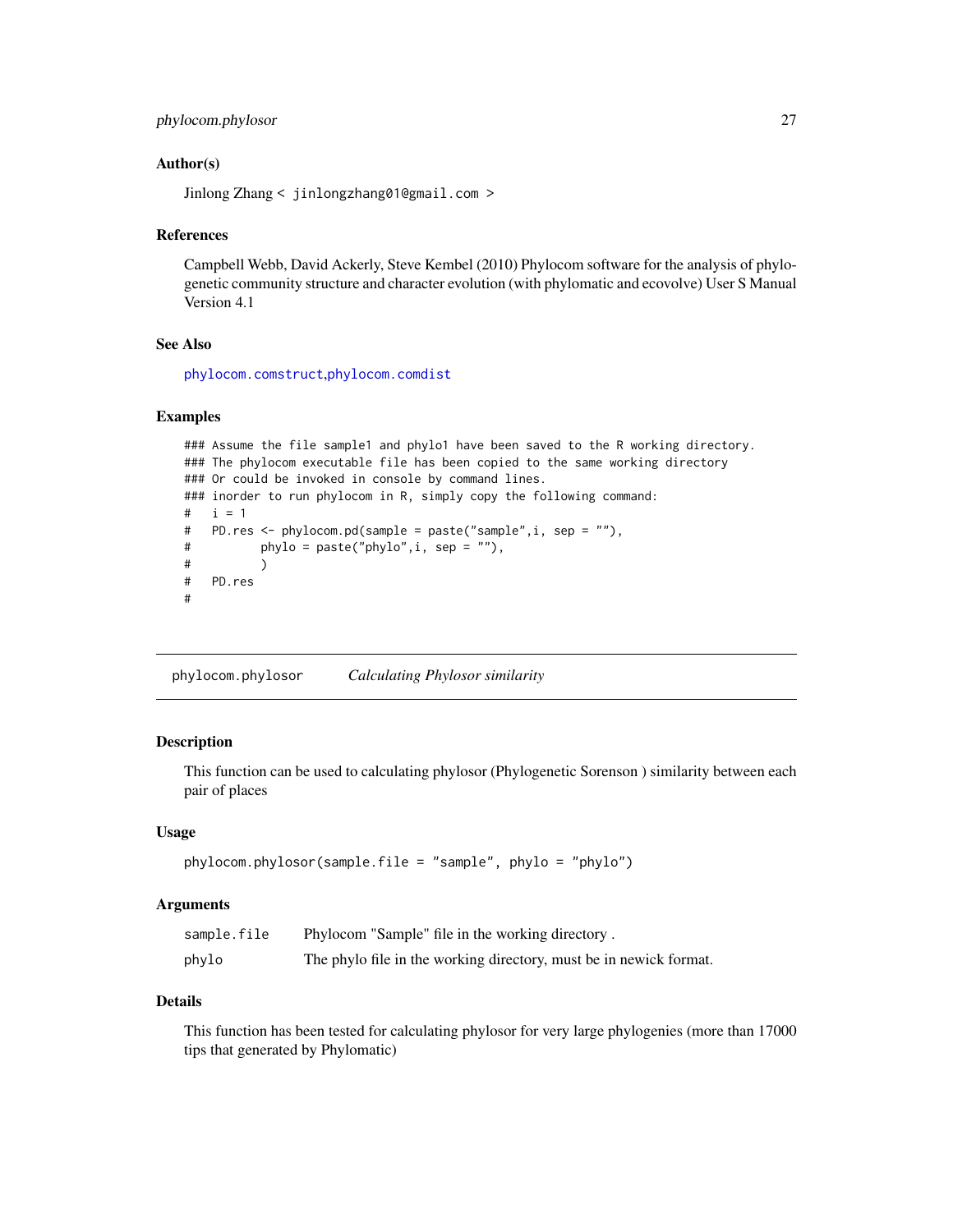```
phylocom.phylosor 27
```
#### Author(s)

Jinlong Zhang < jinlongzhang01@gmail.com >

#### References

Campbell Webb, David Ackerly, Steve Kembel (2010) Phylocom software for the analysis of phylogenetic community structure and character evolution (with phylomatic and ecovolve) User S Manual Version 4.1

#### See Also

[phylocom.comstruct](#page-24-1),[phylocom.comdist](#page-23-1)

# Examples

```
### Assume the file sample1 and phylo1 have been saved to the R working directory.
### The phylocom executable file has been copied to the same working directory
### Or could be invoked in console by command lines.
### inorder to run phylocom in R, simply copy the following command:
# i = 1# PD.res <- phylocom.pd(sample = paste("sample",i, sep = ""),
# phylo = paste("phylo",i, sep = ""),
\# )
# PD.res
#
```
phylocom.phylosor *Calculating Phylosor similarity*

# Description

This function can be used to calculating phylosor (Phylogenetic Sorenson ) similarity between each pair of places

#### Usage

```
phylocom.phylosor(sample.file = "sample", phylo = "phylo")
```
#### Arguments

| sample.file | Phylocom "Sample" file in the working directory.                   |
|-------------|--------------------------------------------------------------------|
| phylo       | The phylo file in the working directory, must be in newick format. |

# Details

This function has been tested for calculating phylosor for very large phylogenies (more than 17000 tips that generated by Phylomatic)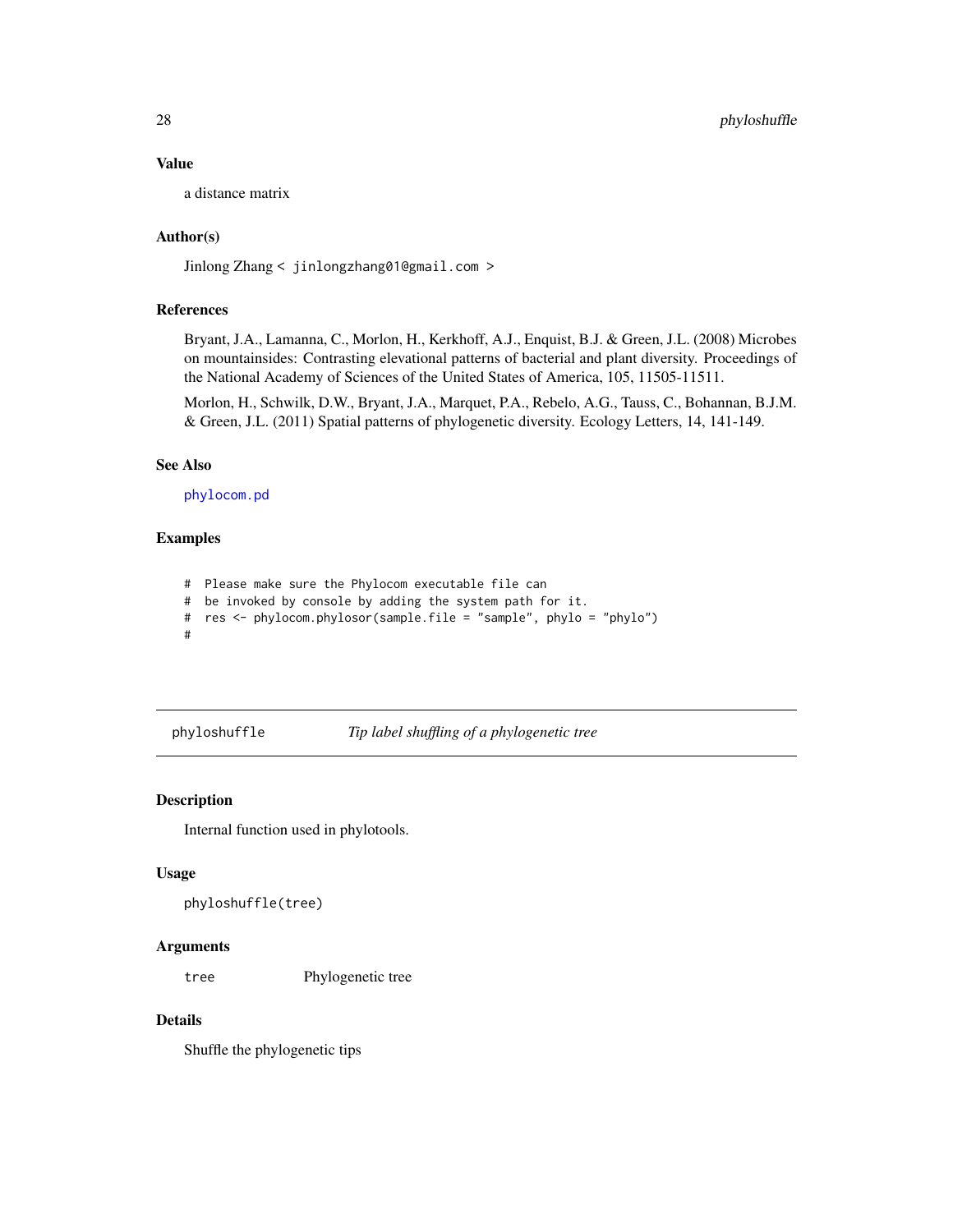#### Value

a distance matrix

# Author(s)

Jinlong Zhang < jinlongzhang01@gmail.com >

# References

Bryant, J.A., Lamanna, C., Morlon, H., Kerkhoff, A.J., Enquist, B.J. & Green, J.L. (2008) Microbes on mountainsides: Contrasting elevational patterns of bacterial and plant diversity. Proceedings of the National Academy of Sciences of the United States of America, 105, 11505-11511.

Morlon, H., Schwilk, D.W., Bryant, J.A., Marquet, P.A., Rebelo, A.G., Tauss, C., Bohannan, B.J.M. & Green, J.L. (2011) Spatial patterns of phylogenetic diversity. Ecology Letters, 14, 141-149.

#### See Also

[phylocom.pd](#page-25-1)

# Examples

- # Please make sure the Phylocom executable file can
- # be invoked by console by adding the system path for it.
- # res <- phylocom.phylosor(sample.file = "sample", phylo = "phylo")
- #

#### phyloshuffle *Tip label shuffling of a phylogenetic tree*

#### Description

Internal function used in phylotools.

#### Usage

```
phyloshuffle(tree)
```
#### Arguments

tree Phylogenetic tree

# Details

Shuffle the phylogenetic tips

<span id="page-27-0"></span>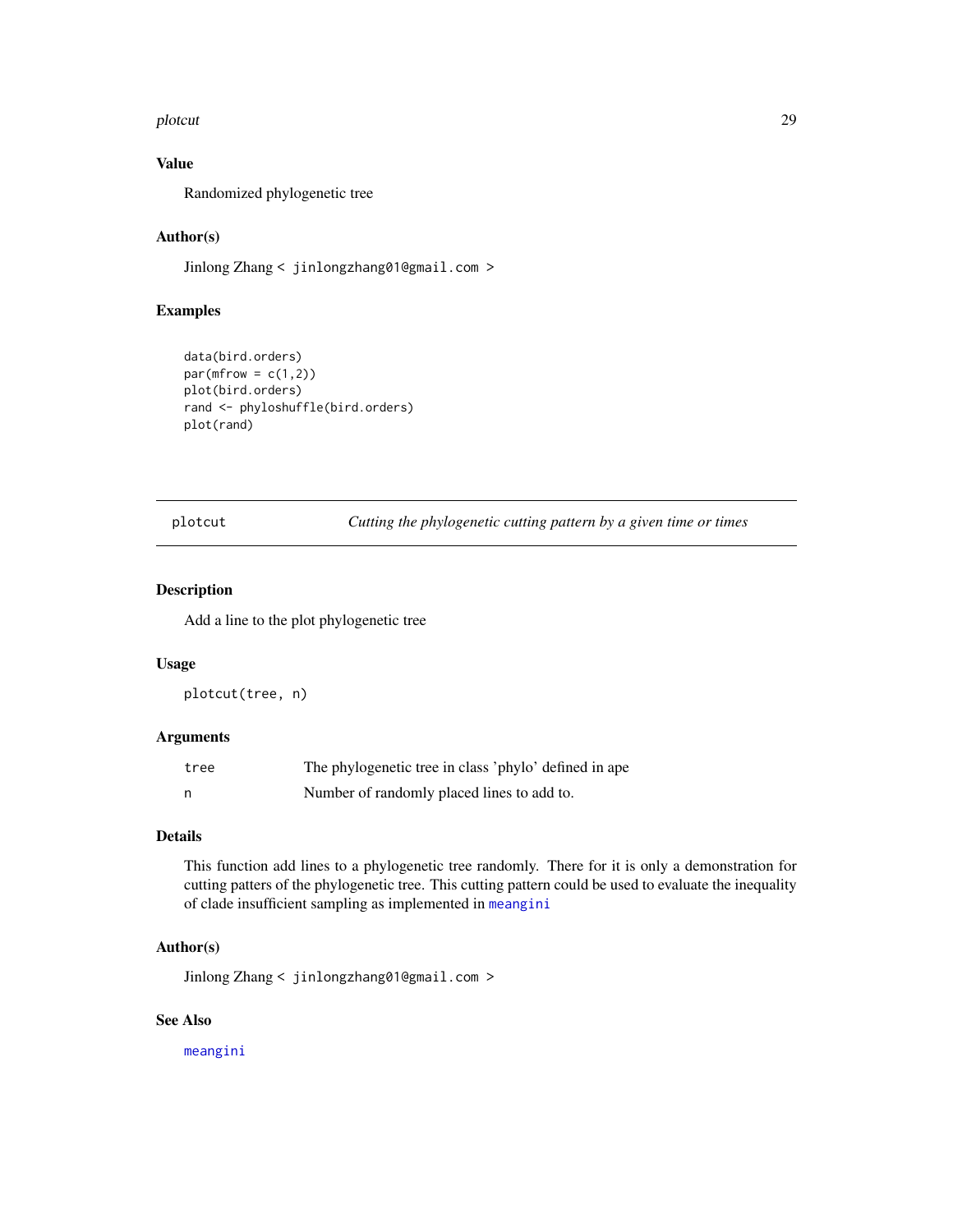#### <span id="page-28-0"></span>plotcut that the contract of the contract of the contract of the contract of the contract of the contract of the contract of the contract of the contract of the contract of the contract of the contract of the contract of t

# Value

Randomized phylogenetic tree

# Author(s)

Jinlong Zhang < jinlongzhang01@gmail.com >

# Examples

```
data(bird.orders)
par(mfrow = c(1,2))plot(bird.orders)
rand <- phyloshuffle(bird.orders)
plot(rand)
```
plotcut *Cutting the phylogenetic cutting pattern by a given time or times*

# Description

Add a line to the plot phylogenetic tree

#### Usage

plotcut(tree, n)

# Arguments

| tree | The phylogenetic tree in class 'phylo' defined in ape |
|------|-------------------------------------------------------|
|      | Number of randomly placed lines to add to.            |

# Details

This function add lines to a phylogenetic tree randomly. There for it is only a demonstration for cutting patters of the phylogenetic tree. This cutting pattern could be used to evaluate the inequality of clade insufficient sampling as implemented in [meangini](#page-21-1)

### Author(s)

Jinlong Zhang < jinlongzhang01@gmail.com >

# See Also

[meangini](#page-21-1)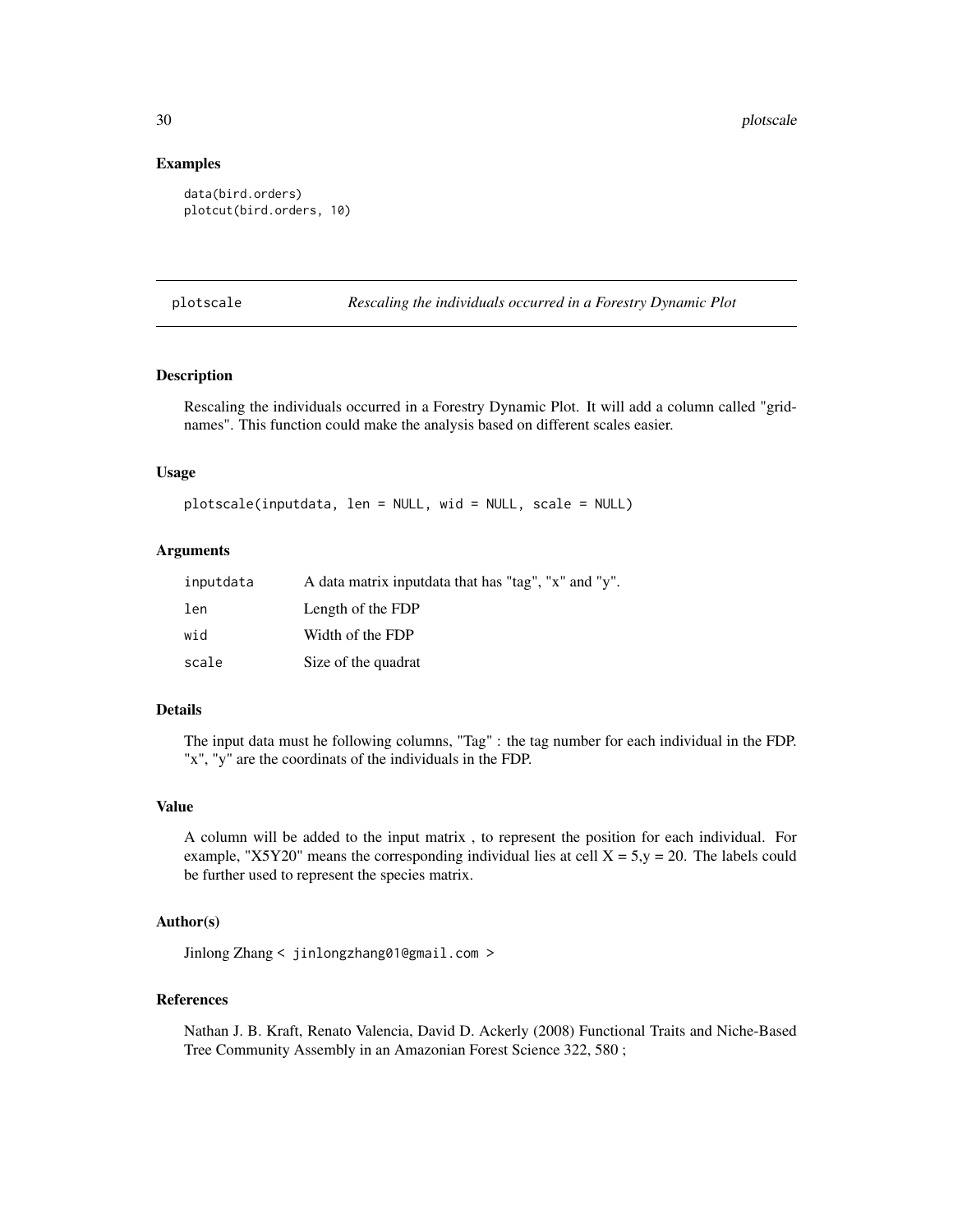#### Examples

```
data(bird.orders)
plotcut(bird.orders, 10)
```
plotscale *Rescaling the individuals occurred in a Forestry Dynamic Plot*

# Description

Rescaling the individuals occurred in a Forestry Dynamic Plot. It will add a column called "gridnames". This function could make the analysis based on different scales easier.

#### Usage

plotscale(inputdata, len = NULL, wid = NULL, scale = NULL)

#### Arguments

| inputdata | A data matrix inputdata that has "tag", "x" and "y". |
|-----------|------------------------------------------------------|
| len       | Length of the FDP                                    |
| wid       | Width of the FDP                                     |
| scale     | Size of the quadrat                                  |

#### Details

The input data must he following columns, "Tag" : the tag number for each individual in the FDP. "x", "y" are the coordinats of the individuals in the FDP.

#### Value

A column will be added to the input matrix , to represent the position for each individual. For example, "X5Y20" means the corresponding individual lies at cell  $X = 5$ ,  $y = 20$ . The labels could be further used to represent the species matrix.

#### Author(s)

Jinlong Zhang < jinlongzhang01@gmail.com >

#### References

Nathan J. B. Kraft, Renato Valencia, David D. Ackerly (2008) Functional Traits and Niche-Based Tree Community Assembly in an Amazonian Forest Science 322, 580 ;

<span id="page-29-0"></span>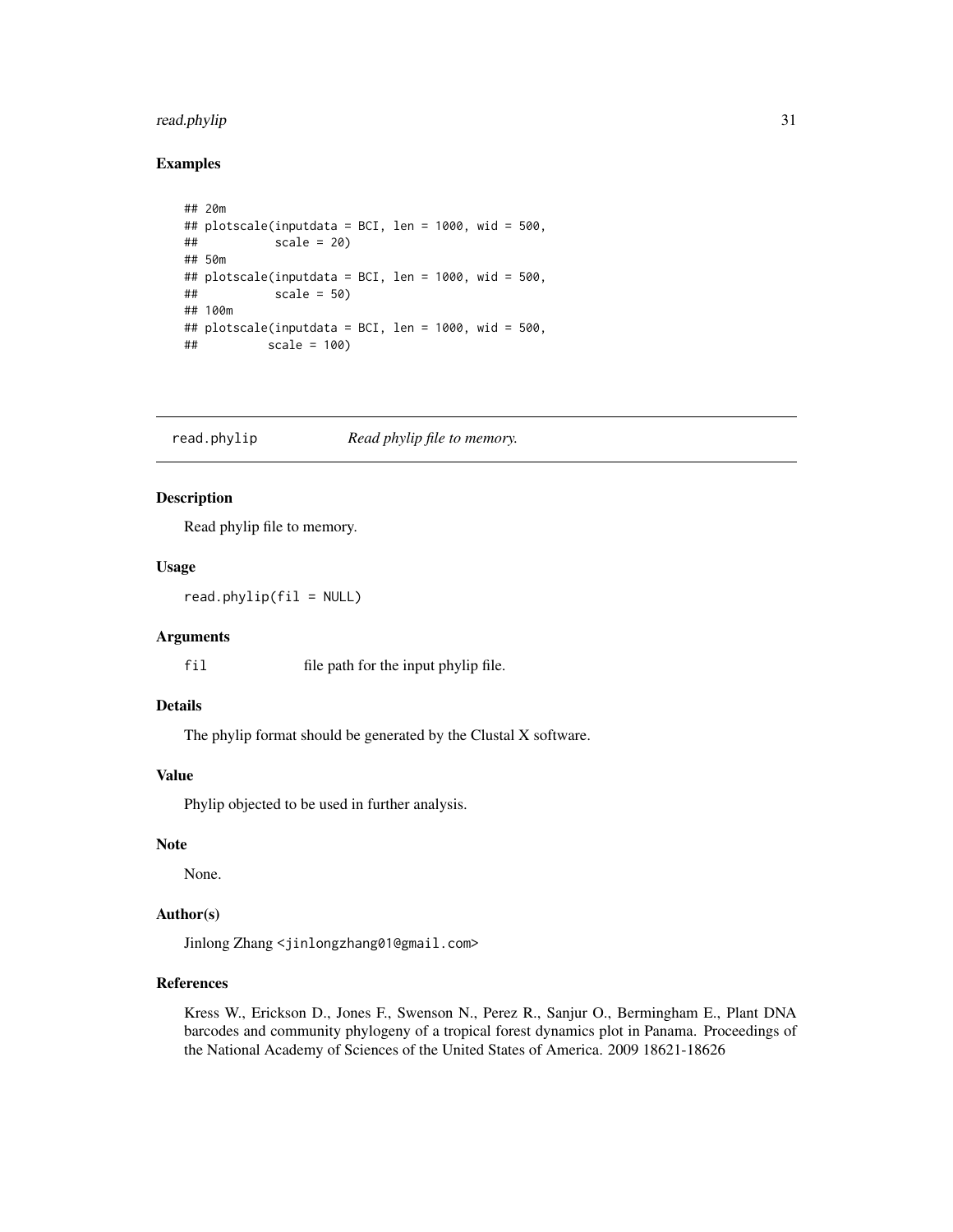# <span id="page-30-0"></span>read.phylip 31

#### Examples

```
## 20m
## plotscale(inputdata = BCI, len = 1000, wid = 500,
## scale = 20)
## 50m
## plotscale(inputdata = BCI, len = 1000, wid = 500,
## scale = 50)
## 100m
## plotscale(inputdata = BCI, len = 1000, wid = 500,
## scale = 100)
```
<span id="page-30-1"></span>read.phylip *Read phylip file to memory.*

# Description

Read phylip file to memory.

#### Usage

 $read.php(fil = NULL)$ 

#### Arguments

fil file path for the input phylip file.

# Details

The phylip format should be generated by the Clustal X software.

#### Value

Phylip objected to be used in further analysis.

#### Note

None.

# Author(s)

Jinlong Zhang <jinlongzhang01@gmail.com>

# References

Kress W., Erickson D., Jones F., Swenson N., Perez R., Sanjur O., Bermingham E., Plant DNA barcodes and community phylogeny of a tropical forest dynamics plot in Panama. Proceedings of the National Academy of Sciences of the United States of America. 2009 18621-18626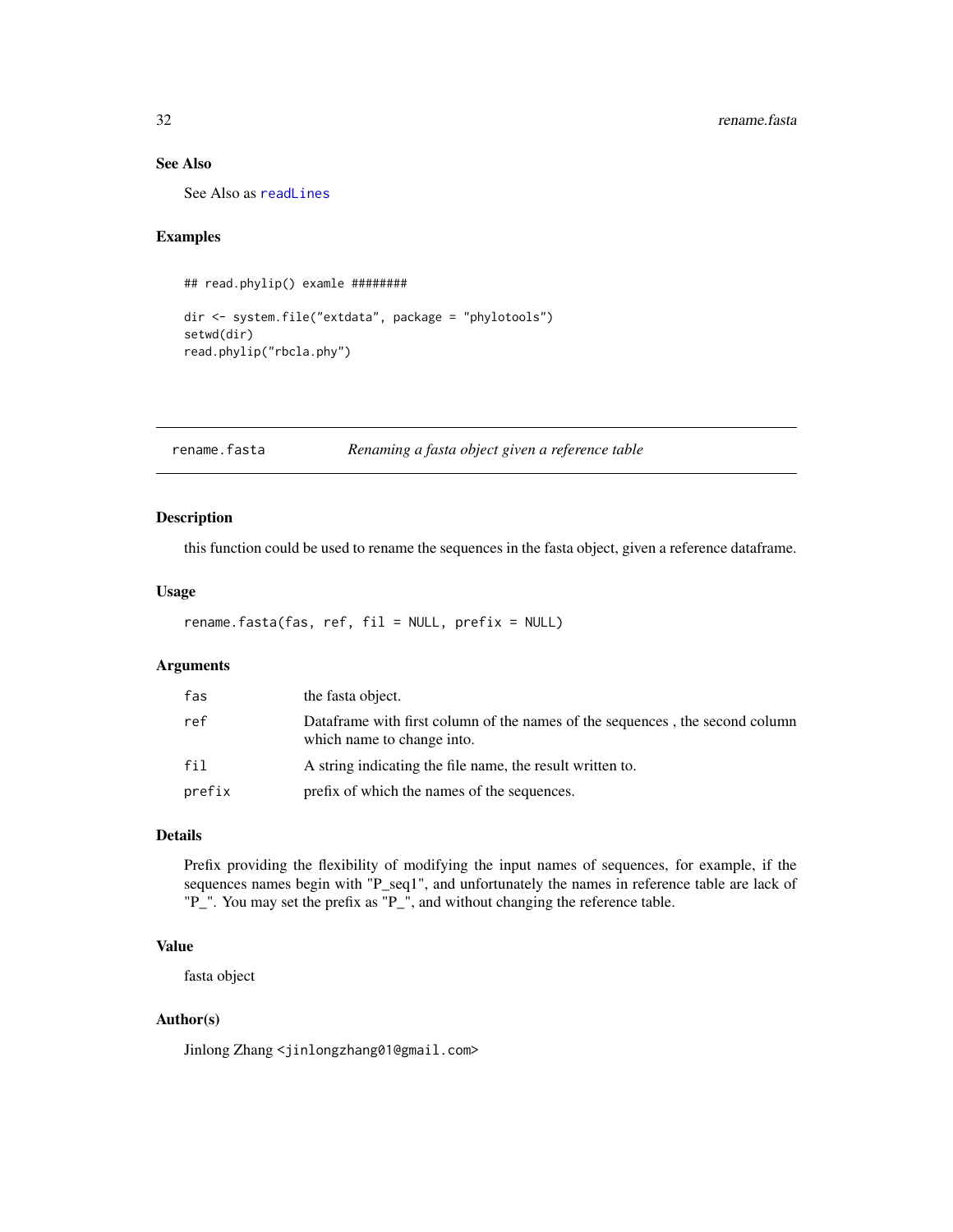#### See Also

See Also as [readLines](#page-0-0)

#### Examples

```
## read.phylip() examle ########
```

```
dir <- system.file("extdata", package = "phylotools")
setwd(dir)
read.phylip("rbcla.phy")
```
<span id="page-31-1"></span>rename.fasta *Renaming a fasta object given a reference table*

#### Description

this function could be used to rename the sequences in the fasta object, given a reference dataframe.

# Usage

```
rename.fasta(fas, ref, fil = NULL, prefix = NULL)
```
# Arguments

| fas    | the fasta object.                                                                                          |
|--------|------------------------------------------------------------------------------------------------------------|
| ref    | Dataframe with first column of the names of the sequences, the second column<br>which name to change into. |
| fil    | A string indicating the file name, the result written to.                                                  |
| prefix | prefix of which the names of the sequences.                                                                |

# Details

Prefix providing the flexibility of modifying the input names of sequences, for example, if the sequences names begin with "P\_seq1", and unfortunately the names in reference table are lack of "P\_". You may set the prefix as "P\_", and without changing the reference table.

# Value

fasta object

# Author(s)

Jinlong Zhang <jinlongzhang01@gmail.com>

<span id="page-31-0"></span>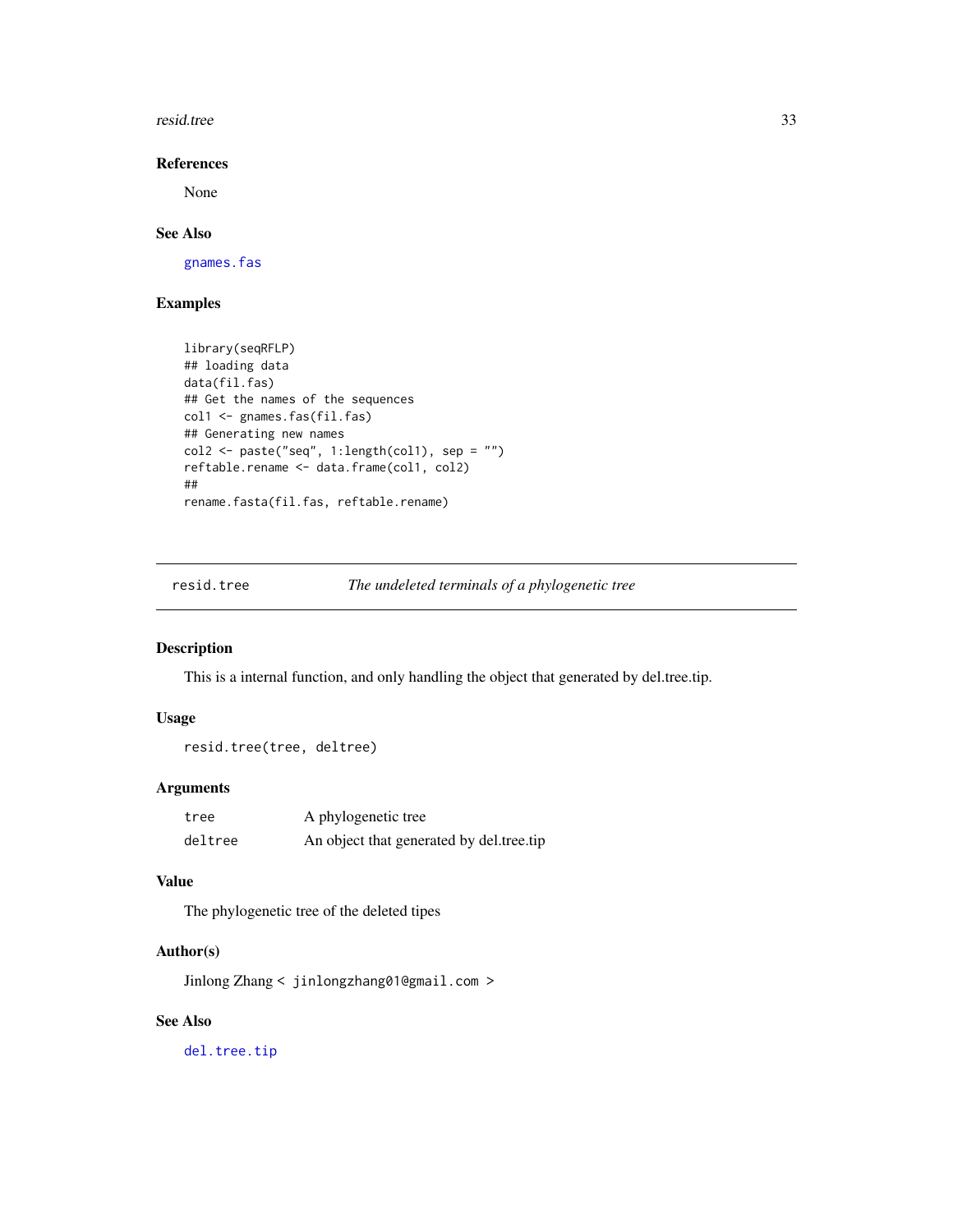<span id="page-32-0"></span>resid.tree 33

# References

None

# See Also

[gnames.fas](#page-0-0)

# Examples

```
library(seqRFLP)
## loading data
data(fil.fas)
## Get the names of the sequences
col1 <- gnames.fas(fil.fas)
## Generating new names
col2 <- paste("seq", 1:length(col1), sep = "")
reftable.rename <- data.frame(col1, col2)
##
rename.fasta(fil.fas, reftable.rename)
```
<span id="page-32-1"></span>resid.tree *The undeleted terminals of a phylogenetic tree*

#### Description

This is a internal function, and only handling the object that generated by del.tree.tip.

# Usage

```
resid.tree(tree, deltree)
```
# Arguments

| tree    | A phylogenetic tree                      |
|---------|------------------------------------------|
| deltree | An object that generated by del.tree.tip |

# Value

The phylogenetic tree of the deleted tipes

# Author(s)

Jinlong Zhang < jinlongzhang01@gmail.com >

# See Also

[del.tree.tip](#page-9-1)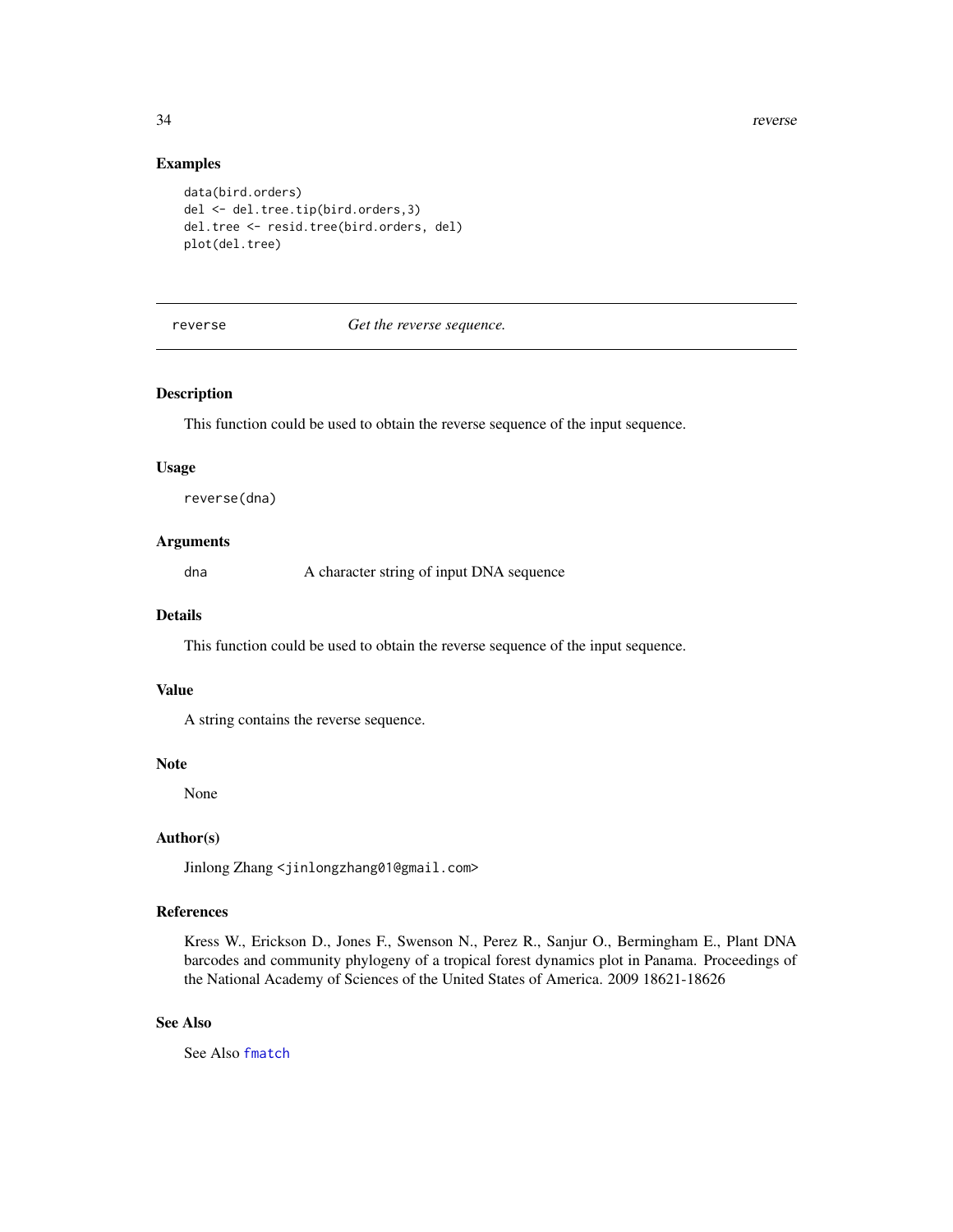34 reverse

#### Examples

```
data(bird.orders)
del <- del.tree.tip(bird.orders,3)
del.tree <- resid.tree(bird.orders, del)
plot(del.tree)
```
#### reverse *Get the reverse sequence.*

# Description

This function could be used to obtain the reverse sequence of the input sequence.

#### Usage

reverse(dna)

#### Arguments

dna A character string of input DNA sequence

#### Details

This function could be used to obtain the reverse sequence of the input sequence.

#### Value

A string contains the reverse sequence.

#### Note

None

# Author(s)

Jinlong Zhang <jinlongzhang01@gmail.com>

# References

Kress W., Erickson D., Jones F., Swenson N., Perez R., Sanjur O., Bermingham E., Plant DNA barcodes and community phylogeny of a tropical forest dynamics plot in Panama. Proceedings of the National Academy of Sciences of the United States of America. 2009 18621-18626

#### See Also

See Also [fmatch](#page-13-1)

<span id="page-33-0"></span>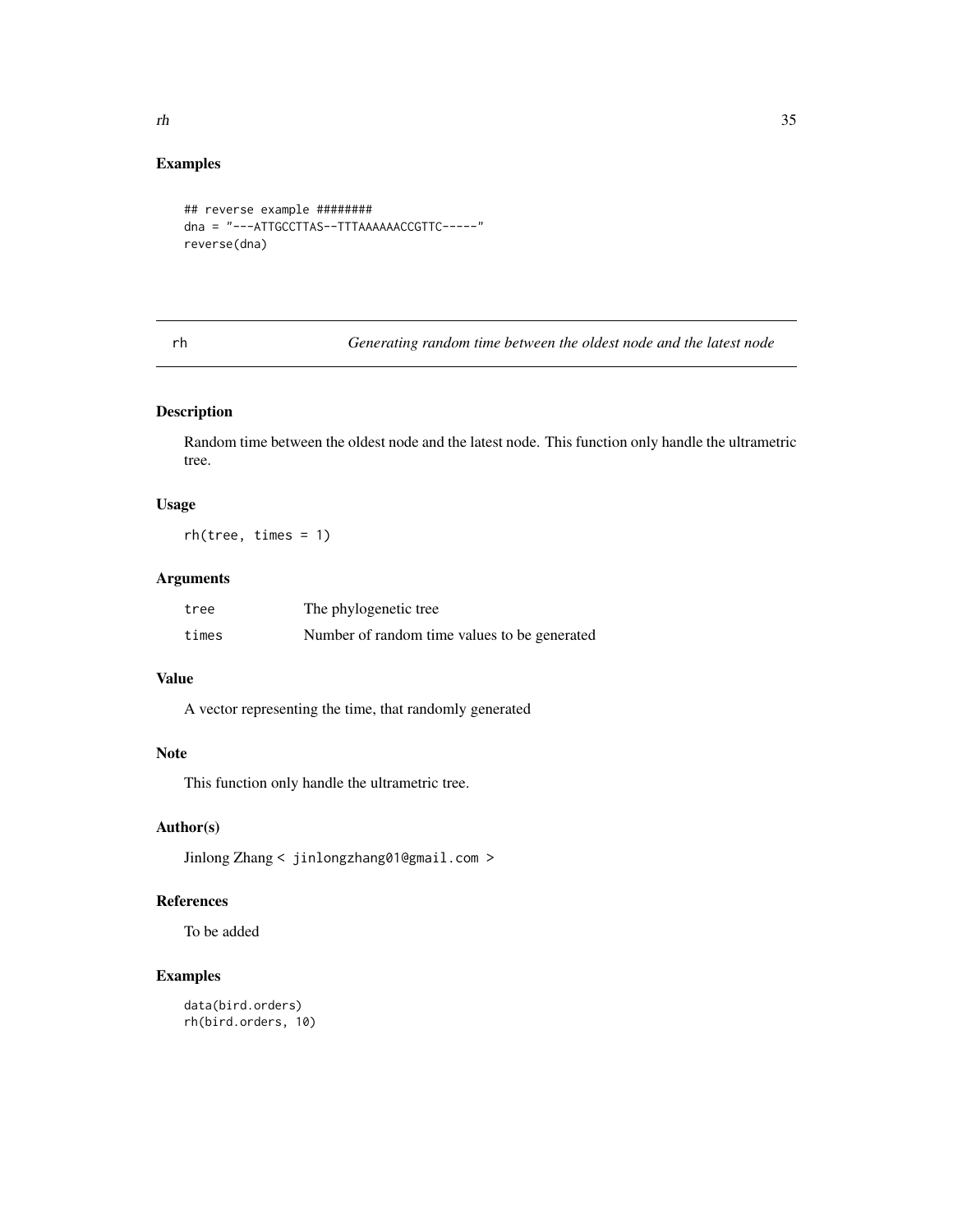# <span id="page-34-0"></span>Examples

```
## reverse example ########
dna = "---ATTGCCTTAS--TTTAAAAAACCGTTC-----"
reverse(dna)
```
rh *Generating random time between the oldest node and the latest node*

# Description

Random time between the oldest node and the latest node. This function only handle the ultrametric tree.

# Usage

rh(tree, times = 1)

# Arguments

| tree  | The phylogenetic tree                        |
|-------|----------------------------------------------|
| times | Number of random time values to be generated |

# Value

A vector representing the time, that randomly generated

# Note

This function only handle the ultrametric tree.

# Author(s)

Jinlong Zhang < jinlongzhang01@gmail.com >

# References

To be added

```
data(bird.orders)
rh(bird.orders, 10)
```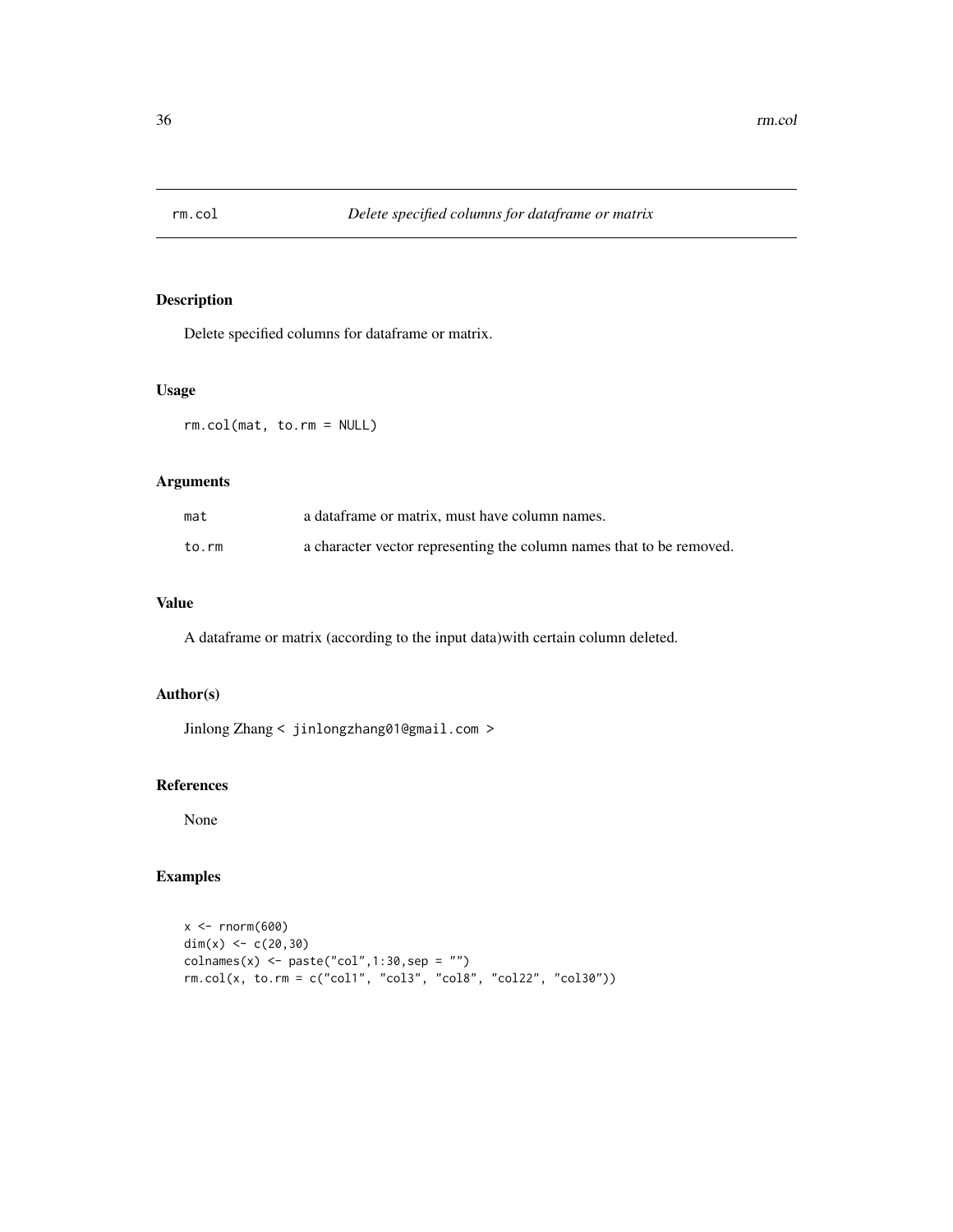<span id="page-35-0"></span>

Delete specified columns for dataframe or matrix.

#### Usage

rm.col(mat, to.rm = NULL)

# Arguments

| mat   | a data frame or matrix, must have column names.                      |
|-------|----------------------------------------------------------------------|
| to.rm | a character vector representing the column names that to be removed. |

# Value

A dataframe or matrix (according to the input data)with certain column deleted.

# Author(s)

Jinlong Zhang < jinlongzhang01@gmail.com >

# References

None

```
x < - rnorm(600)
dim(x) <-c(20,30)\text{columns}(x) \leq \text{paste}("col", 1:30, \text{sep} = "")rm.col(x, to.rm = c("col1", "col3", "col8", "col22", "col30"))
```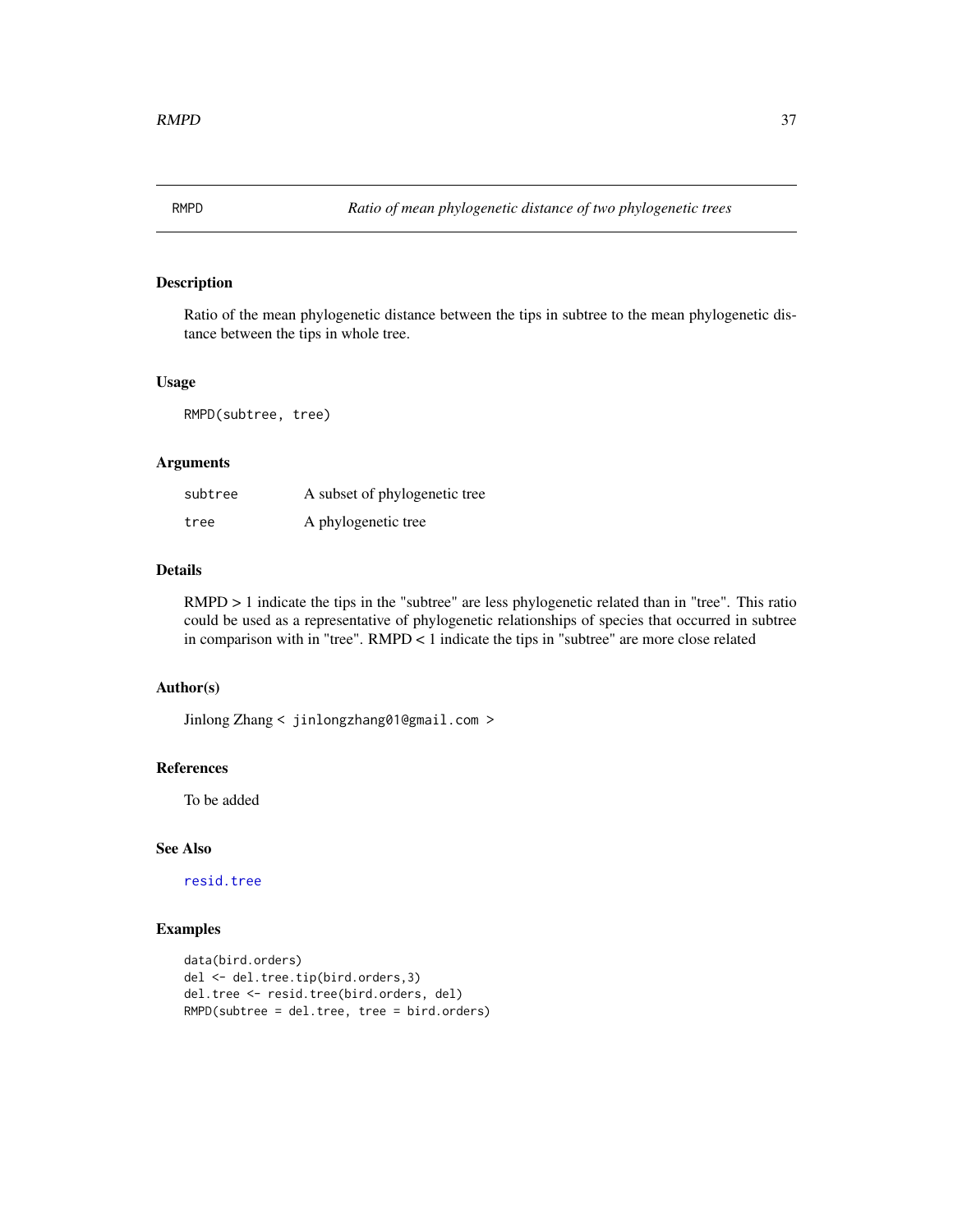<span id="page-36-0"></span>

Ratio of the mean phylogenetic distance between the tips in subtree to the mean phylogenetic distance between the tips in whole tree.

#### Usage

RMPD(subtree, tree)

#### Arguments

| subtree | A subset of phylogenetic tree |
|---------|-------------------------------|
| tree    | A phylogenetic tree           |

# Details

 $RMPD > 1$  indicate the tips in the "subtree" are less phylogenetic related than in "tree". This ratio could be used as a representative of phylogenetic relationships of species that occurred in subtree in comparison with in "tree". RMPD < 1 indicate the tips in "subtree" are more close related

# Author(s)

Jinlong Zhang < jinlongzhang01@gmail.com >

#### References

To be added

# See Also

[resid.tree](#page-32-1)

```
data(bird.orders)
del <- del.tree.tip(bird.orders,3)
del.tree <- resid.tree(bird.orders, del)
RMPD(subtree = del.tree, tree = bird.orders)
```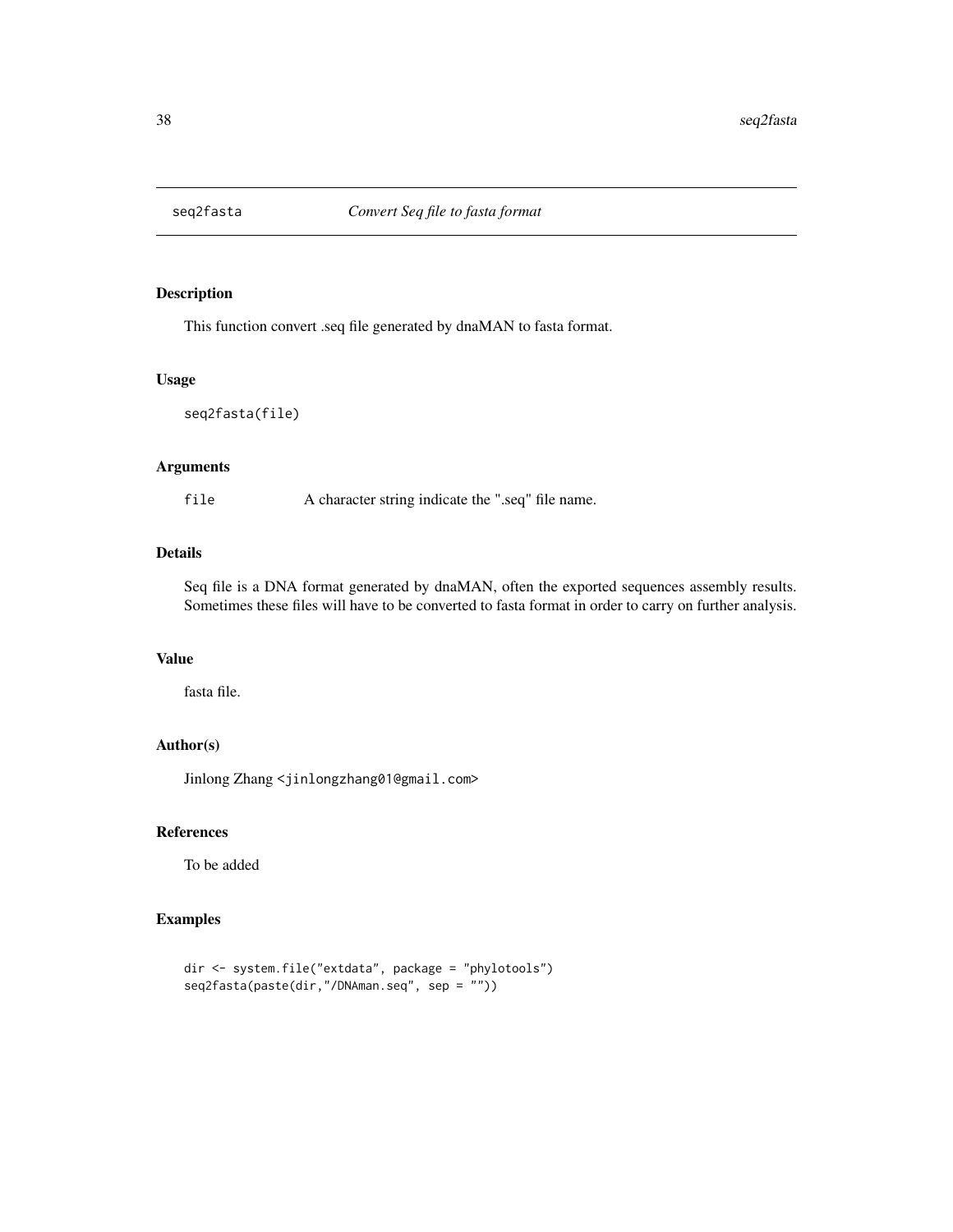<span id="page-37-0"></span>

This function convert .seq file generated by dnaMAN to fasta format.

# Usage

seq2fasta(file)

# Arguments

file A character string indicate the ".seq" file name.

# Details

Seq file is a DNA format generated by dnaMAN, often the exported sequences assembly results. Sometimes these files will have to be converted to fasta format in order to carry on further analysis.

# Value

fasta file.

# Author(s)

Jinlong Zhang <jinlongzhang01@gmail.com>

### References

To be added

```
dir <- system.file("extdata", package = "phylotools")
seq2fasta(paste(dir,"/DNAman.seq", sep = ""))
```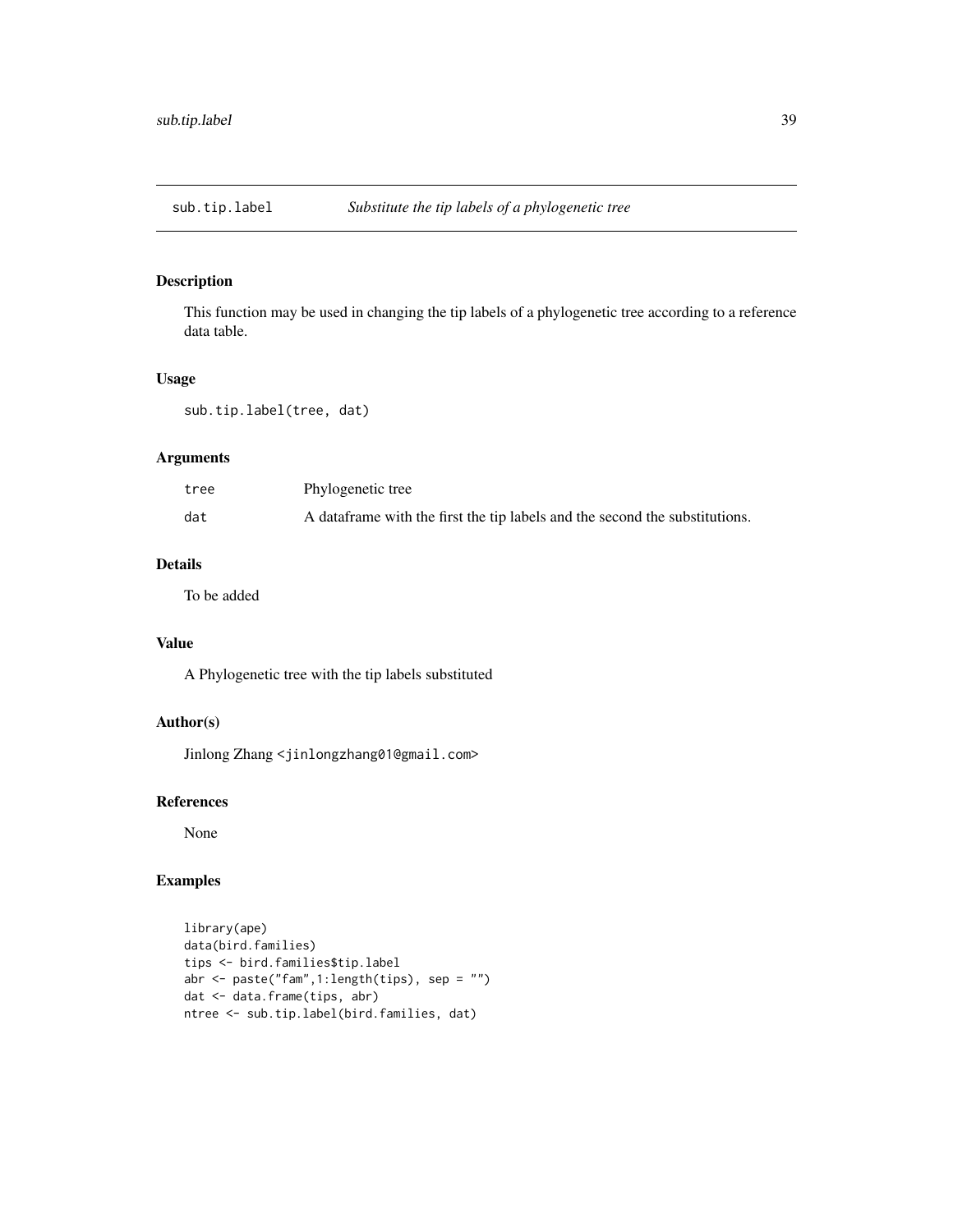<span id="page-38-0"></span>

This function may be used in changing the tip labels of a phylogenetic tree according to a reference data table.

# Usage

sub.tip.label(tree, dat)

# Arguments

| tree | Phylogenetic tree                                                            |
|------|------------------------------------------------------------------------------|
| dat  | A data frame with the first the tip labels and the second the substitutions. |

# Details

To be added

# Value

A Phylogenetic tree with the tip labels substituted

# Author(s)

Jinlong Zhang <jinlongzhang01@gmail.com>

# References

None

```
library(ape)
data(bird.families)
tips <- bird.families$tip.label
abr <- paste("fam",1:length(tips), sep = "")
dat <- data.frame(tips, abr)
ntree <- sub.tip.label(bird.families, dat)
```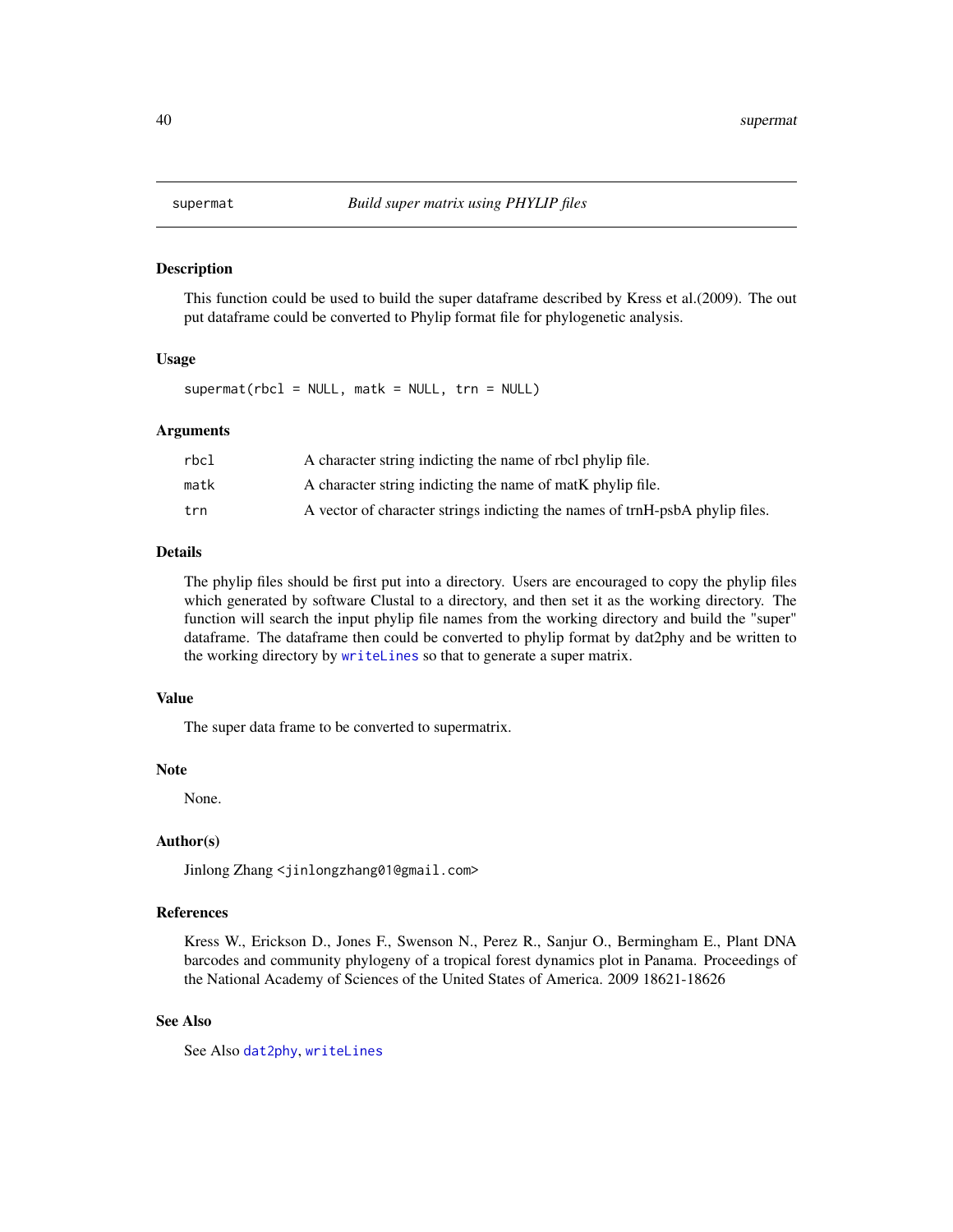<span id="page-39-1"></span><span id="page-39-0"></span>

This function could be used to build the super dataframe described by Kress et al.(2009). The out put dataframe could be converted to Phylip format file for phylogenetic analysis.

#### Usage

 $supermat(rbcl = NULL, matk = NULL, trn = NULL)$ 

#### Arguments

| rbcl | A character string indicting the name of rbcl phylip file.                   |
|------|------------------------------------------------------------------------------|
| matk | A character string indicting the name of matk phylip file.                   |
| trn  | A vector of character strings indicting the names of trnH-psbA phylip files. |

#### Details

The phylip files should be first put into a directory. Users are encouraged to copy the phylip files which generated by software Clustal to a directory, and then set it as the working directory. The function will search the input phylip file names from the working directory and build the "super" dataframe. The dataframe then could be converted to phylip format by dat2phy and be written to the working directory by [writeLines](#page-0-0) so that to generate a super matrix.

# Value

The super data frame to be converted to supermatrix.

#### Note

None.

#### Author(s)

Jinlong Zhang <jinlongzhang01@gmail.com>

# References

Kress W., Erickson D., Jones F., Swenson N., Perez R., Sanjur O., Bermingham E., Plant DNA barcodes and community phylogeny of a tropical forest dynamics plot in Panama. Proceedings of the National Academy of Sciences of the United States of America. 2009 18621-18626

#### See Also

See Also [dat2phy](#page-8-1), [writeLines](#page-0-0)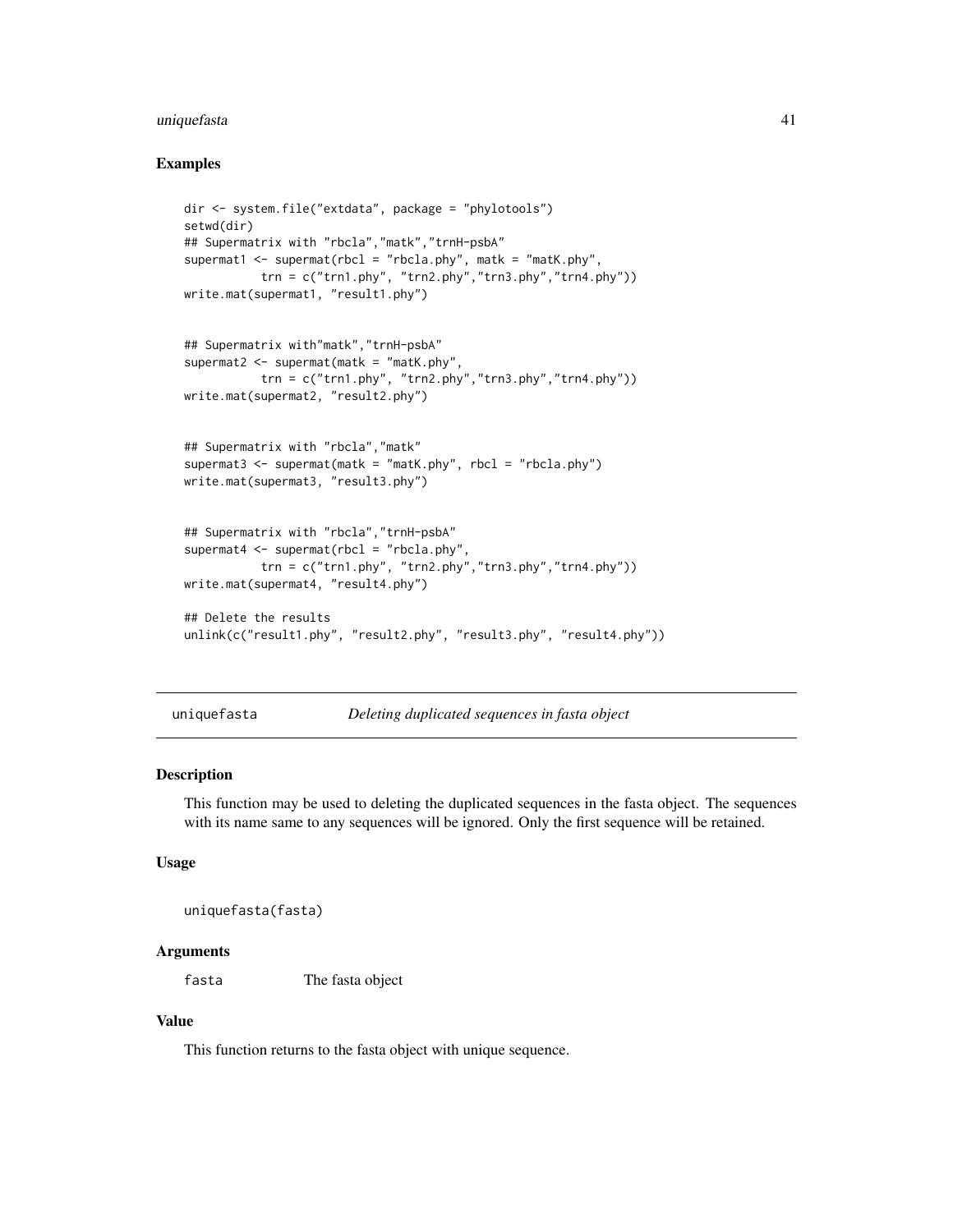# <span id="page-40-0"></span>uniquefasta 41

#### Examples

```
dir <- system.file("extdata", package = "phylotools")
setwd(dir)
## Supermatrix with "rbcla","matk","trnH-psbA"
supermat1 <- supermat(rbcl = "rbcla.phy", matk = "matK.phy",
           trn = c("trn1.php", "trn2.php", "trn3.php", "trn4.php")write.mat(supermat1, "result1.phy")
## Supermatrix with"matk","trnH-psbA"
supermat2 <- supermat(matk = "matK.phy",
          trn = c("trn1.php", "trn2.php", "trn3.php", "trn4.php"))write.mat(supermat2, "result2.phy")
## Supermatrix with "rbcla","matk"
supermat3 \leq supermat(matk = "matK.phy", rbcl = "rbcla.phy")
write.mat(supermat3, "result3.phy")
## Supermatrix with "rbcla","trnH-psbA"
supermat4 <- supermat(rbcl = "rbcla.phy",
           trn = c("trn1.phy", "trn2.phy","trn3.phy","trn4.phy"))
write.mat(supermat4, "result4.phy")
## Delete the results
unlink(c("result1.phy", "result2.phy", "result3.phy", "result4.phy"))
```

```
uniquefasta Deleting duplicated sequences in fasta object
```
#### Description

This function may be used to deleting the duplicated sequences in the fasta object. The sequences with its name same to any sequences will be ignored. Only the first sequence will be retained.

# Usage

```
uniquefasta(fasta)
```
#### Arguments

fasta The fasta object

# Value

This function returns to the fasta object with unique sequence.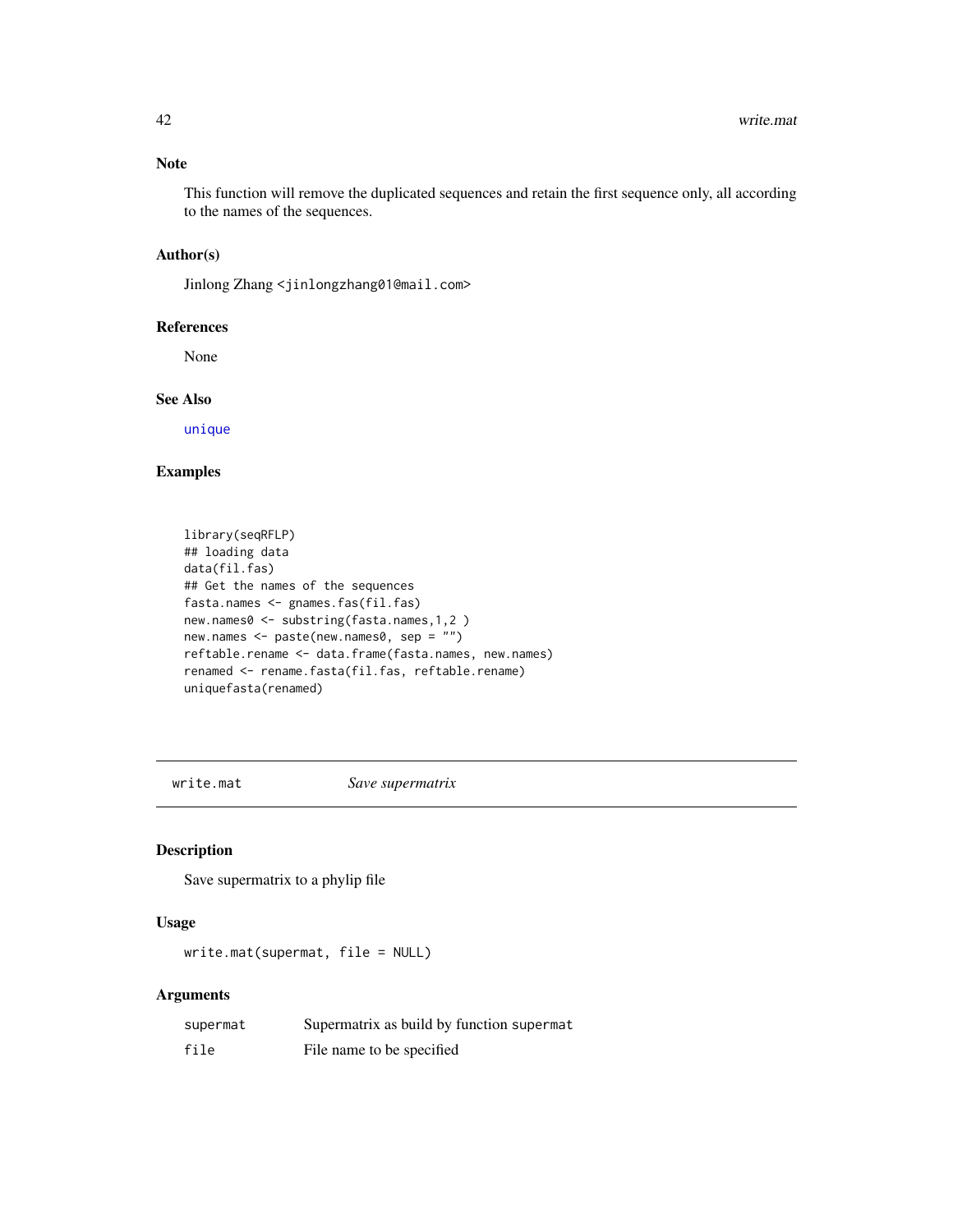#### <span id="page-41-0"></span>Note

This function will remove the duplicated sequences and retain the first sequence only, all according to the names of the sequences.

#### Author(s)

Jinlong Zhang <jinlongzhang01@mail.com>

#### References

None

# See Also

[unique](#page-0-0)

# Examples

```
library(seqRFLP)
## loading data
data(fil.fas)
## Get the names of the sequences
fasta.names <- gnames.fas(fil.fas)
new.names0 <- substring(fasta.names,1,2 )
new.names <- paste(new.names0, sep = "")
reftable.rename <- data.frame(fasta.names, new.names)
renamed <- rename.fasta(fil.fas, reftable.rename)
uniquefasta(renamed)
```
write.mat *Save supermatrix*

#### Description

Save supermatrix to a phylip file

# Usage

write.mat(supermat, file = NULL)

#### Arguments

| supermat | Supermatrix as build by function supermat |
|----------|-------------------------------------------|
| file     | File name to be specified                 |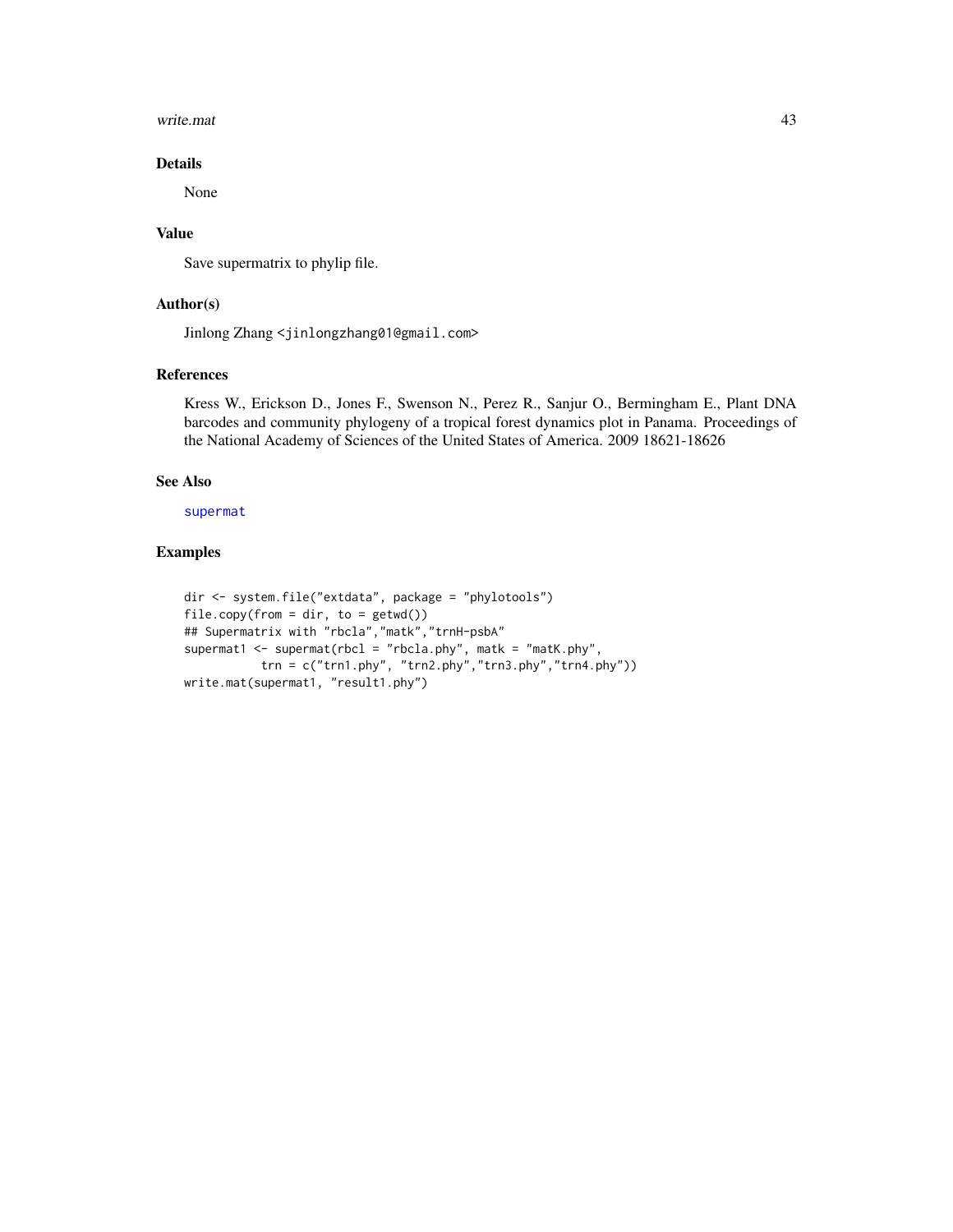#### <span id="page-42-0"></span>write.mat 43

# Details

None

### Value

Save supermatrix to phylip file.

# Author(s)

Jinlong Zhang <jinlongzhang01@gmail.com>

#### References

Kress W., Erickson D., Jones F., Swenson N., Perez R., Sanjur O., Bermingham E., Plant DNA barcodes and community phylogeny of a tropical forest dynamics plot in Panama. Proceedings of the National Academy of Sciences of the United States of America. 2009 18621-18626

# See Also

[supermat](#page-39-1)

```
dir <- system.file("extdata", package = "phylotools")
file.copy(from = dir, to = getwd())## Supermatrix with "rbcla","matk","trnH-psbA"
supermat1 <- supermat(rbcl = "rbcla.phy", matk = "matK.phy",
           trn = c("trn1.php", "trn2.php", "trn3.php", "trn4.php")write.mat(supermat1, "result1.phy")
```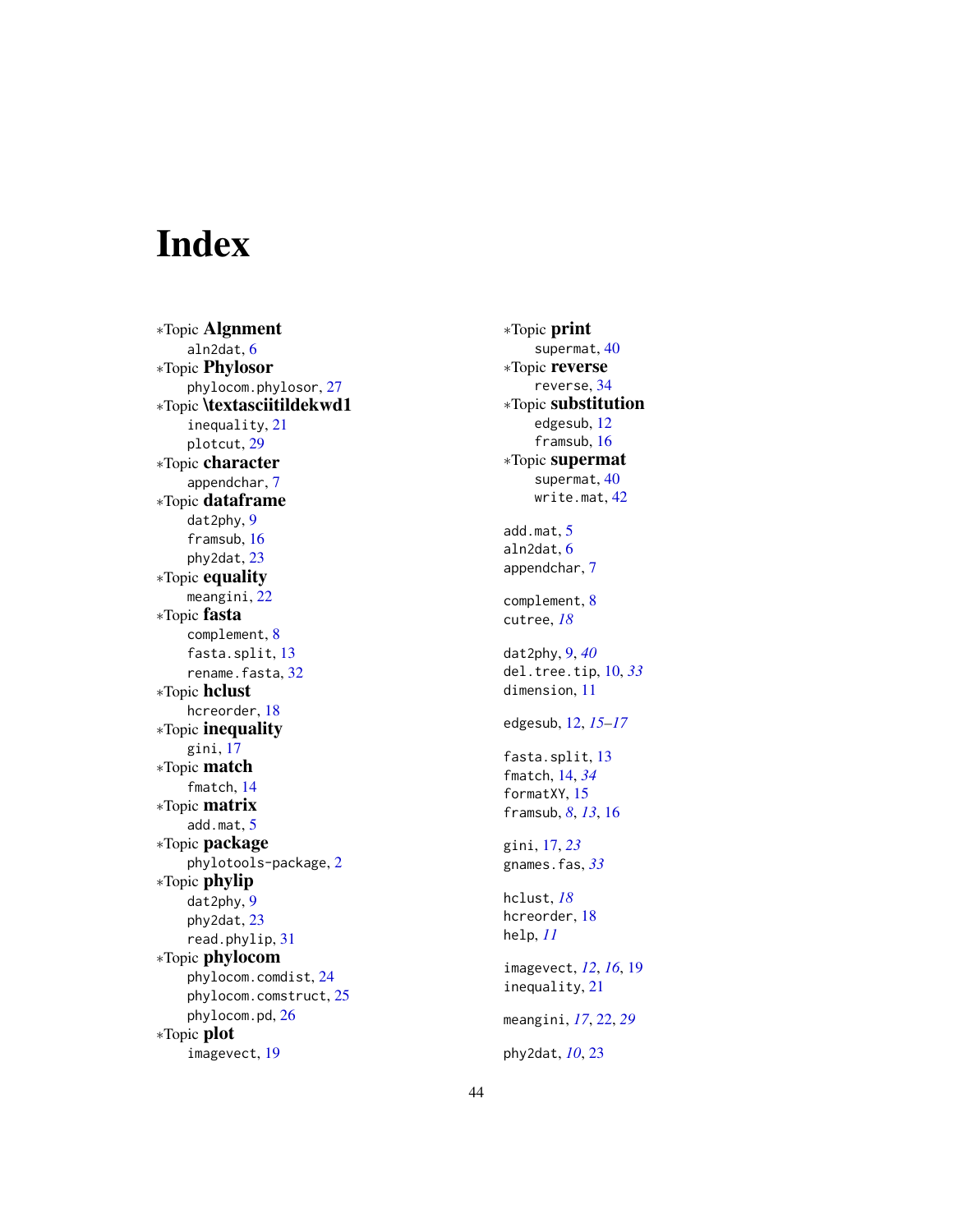# <span id="page-43-0"></span>Index

∗Topic Algnment aln2dat , [6](#page-5-0) ∗Topic Phylosor phylocom.phylosor , [27](#page-26-0) ∗Topic \textasciitildekwd1 inequality , [21](#page-20-0) plotcut , [29](#page-28-0) ∗Topic character appendchar , [7](#page-6-0) ∗Topic dataframe dat2phy , [9](#page-8-0) framsub , [16](#page-15-0) phy2dat , [23](#page-22-0) ∗Topic equality meangini , [22](#page-21-0) ∗Topic fasta complement , [8](#page-7-0) fasta.split, [13](#page-12-0) rename.fasta, [32](#page-31-0) ∗Topic hclust hcreorder , [18](#page-17-0) ∗Topic inequality gini , [17](#page-16-0) ∗Topic match fmatch , [14](#page-13-0) ∗Topic matrix add.mat , [5](#page-4-0) ∗Topic package phylotools-package , [2](#page-1-0) ∗Topic phylip dat2phy , [9](#page-8-0) phy2dat , [23](#page-22-0) read.phylip , [31](#page-30-0) ∗Topic phylocom phylocom.comdist , [24](#page-23-0) phylocom.comstruct , [25](#page-24-0) phylocom.pd, [26](#page-25-0) ∗Topic plot imagevect , [19](#page-18-0)

∗Topic print supermat, [40](#page-39-0) ∗Topic reverse reverse , [34](#page-33-0) ∗Topic substitution edgesub , [12](#page-11-0) framsub , [16](#page-15-0) ∗Topic supermat supermat, [40](#page-39-0) write.mat , [42](#page-41-0) add.mat , [5](#page-4-0) aln2dat , [6](#page-5-0) appendchar , [7](#page-6-0) complement , [8](#page-7-0) cutree , *[18](#page-17-0)* dat2phy , [9](#page-8-0) , *[40](#page-39-0)* del.tree.tip , [10](#page-9-0) , *[33](#page-32-0)* dimension , [11](#page-10-0) edgesub , [12](#page-11-0) , *[15](#page-14-0) [–17](#page-16-0)* fasta.split, [13](#page-12-0) fmatch , [14](#page-13-0) , *[34](#page-33-0)* formatXY, [15](#page-14-0) framsub , *[8](#page-7-0)* , *[13](#page-12-0)* , [16](#page-15-0) gini , [17](#page-16-0) , *[23](#page-22-0)* gnames.fas , *[33](#page-32-0)* hclust , *[18](#page-17-0)* hcreorder , [18](#page-17-0) help , *[11](#page-10-0)* imagevect , *[12](#page-11-0)* , *[16](#page-15-0)* , [19](#page-18-0) inequality , [21](#page-20-0) meangini , *[17](#page-16-0)* , [22](#page-21-0) , *[29](#page-28-0)* phy2dat , *[10](#page-9-0)* , [23](#page-22-0)